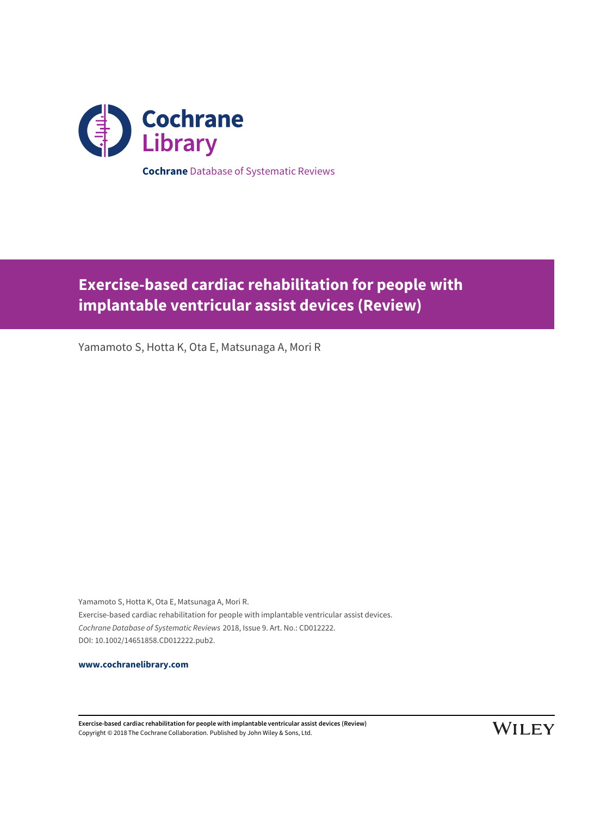

**Exercise-based cardiac rehabilitation for people with implantable ventricular assist devices (Review)**

Yamamoto S, Hotta K, Ota E, Matsunaga A, Mori R

Yamamoto S, Hotta K, Ota E, Matsunaga A, Mori R. Exercise-based cardiac rehabilitation for people with implantable ventricular assist devices. Cochrane Database of Systematic Reviews 2018, Issue 9. Art. No.: CD012222. DOI: 10.1002/14651858.CD012222.pub2.

**[www.cochranelibrary.com](http://www.cochranelibrary.com)**

**Exercise-based cardiac rehabilitation for people with implantable ventricular assist devices (Review)** Copyright © 2018 The Cochrane Collaboration. Published by John Wiley & Sons, Ltd.

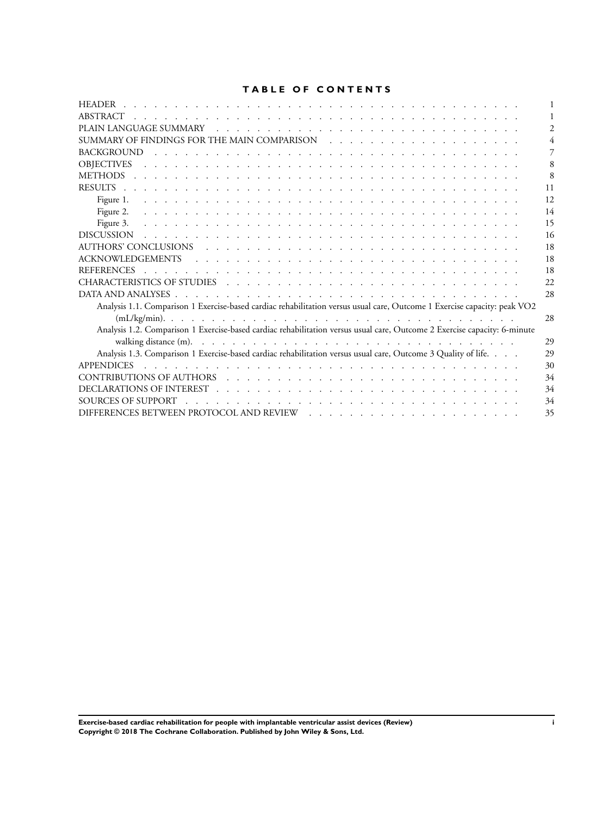# **TABLE OF CONTENTS**

| <b>HEADER</b>                                                                                                                                                |
|--------------------------------------------------------------------------------------------------------------------------------------------------------------|
| ABSTRACT<br><u>. In the second terms of the second terms of the second terms of the second terms of the second</u>                                           |
|                                                                                                                                                              |
|                                                                                                                                                              |
| <b>BACKGROUND</b>                                                                                                                                            |
| <b>OBIECTIVES</b>                                                                                                                                            |
|                                                                                                                                                              |
| 11                                                                                                                                                           |
| 12                                                                                                                                                           |
| 14<br>Figure 2.                                                                                                                                              |
| 15                                                                                                                                                           |
| <b>DISCUSSION</b><br>16                                                                                                                                      |
| 18                                                                                                                                                           |
| <b>ACKNOWLEDGEMENTS</b><br>18                                                                                                                                |
| 18<br><b>REFERENCES</b>                                                                                                                                      |
| 22                                                                                                                                                           |
| 28                                                                                                                                                           |
| Analysis 1.1. Comparison 1 Exercise-based cardiac rehabilitation versus usual care, Outcome 1 Exercise capacity: peak VO2                                    |
| 28                                                                                                                                                           |
| Analysis 1.2. Comparison 1 Exercise-based cardiac rehabilitation versus usual care, Outcome 2 Exercise capacity: 6-minute                                    |
| walking distance $(m)$ . $\ldots$ $\ldots$ $\ldots$ $\ldots$ $\ldots$ $\ldots$ $\ldots$ $\ldots$ $\ldots$ $\ldots$ $\ldots$ $\ldots$ $\ldots$ $\ldots$<br>29 |
| Analysis 1.3. Comparison 1 Exercise-based cardiac rehabilitation versus usual care, Outcome 3 Quality of life.<br>29                                         |
| 30                                                                                                                                                           |
| 34                                                                                                                                                           |
| 34                                                                                                                                                           |
| SOURCES OF SUPPORT<br>34<br>المتحدث والمتحدث والمتحدث والمتحدث والمتحدث والمتحدث والمتحدث والمتحدث والمتحدث والمتحدث                                         |
| DIFFERENCES BETWEEN PROTOCOL AND REVIEW<br>35                                                                                                                |

**Exercise-based cardiac rehabilitation for people with implantable ventricular assist devices (Review) i Copyright © 2018 The Cochrane Collaboration. Published by John Wiley & Sons, Ltd.**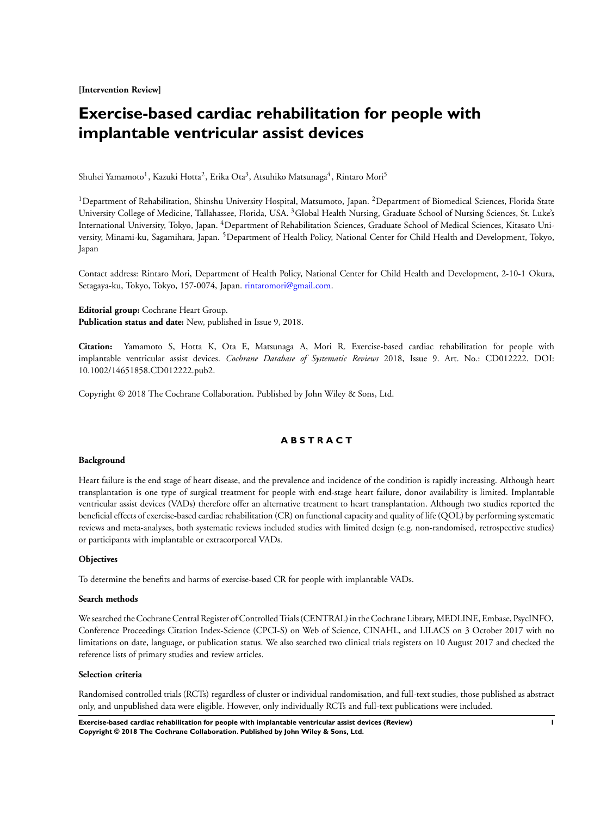**[Intervention Review]**

# **Exercise-based cardiac rehabilitation for people with implantable ventricular assist devices**

Shuhei Yamamoto<sup>1</sup>, Kazuki Hotta<sup>2</sup>, Erika Ota<sup>3</sup>, Atsuhiko Matsunaga<sup>4</sup>, Rintaro Mori<sup>5</sup>

<sup>1</sup>Department of Rehabilitation, Shinshu University Hospital, Matsumoto, Japan. <sup>2</sup>Department of Biomedical Sciences, Florida State University College of Medicine, Tallahassee, Florida, USA. <sup>3</sup>Global Health Nursing, Graduate School of Nursing Sciences, St. Luke's International University, Tokyo, Japan. <sup>4</sup>Department of Rehabilitation Sciences, Graduate School of Medical Sciences, Kitasato University, Minami-ku, Sagamihara, Japan. <sup>5</sup>Department of Health Policy, National Center for Child Health and Development, Tokyo, Japan

Contact address: Rintaro Mori, Department of Health Policy, National Center for Child Health and Development, 2-10-1 Okura, Setagaya-ku, Tokyo, Tokyo, 157-0074, Japan. [rintaromori@gmail.com](mailto:rintaromori@gmail.com).

**Editorial group:** Cochrane Heart Group. **Publication status and date:** New, published in Issue 9, 2018.

**Citation:** Yamamoto S, Hotta K, Ota E, Matsunaga A, Mori R. Exercise-based cardiac rehabilitation for people with implantable ventricular assist devices. *Cochrane Database of Systematic Reviews* 2018, Issue 9. Art. No.: CD012222. DOI: 10.1002/14651858.CD012222.pub2.

Copyright © 2018 The Cochrane Collaboration. Published by John Wiley & Sons, Ltd.

# **A B S T R A C T**

### **Background**

Heart failure is the end stage of heart disease, and the prevalence and incidence of the condition is rapidly increasing. Although heart transplantation is one type of surgical treatment for people with end-stage heart failure, donor availability is limited. Implantable ventricular assist devices (VADs) therefore offer an alternative treatment to heart transplantation. Although two studies reported the beneficial effects of exercise-based cardiac rehabilitation (CR) on functional capacity and quality of life (QOL) by performing systematic reviews and meta-analyses, both systematic reviews included studies with limited design (e.g. non-randomised, retrospective studies) or participants with implantable or extracorporeal VADs.

#### **Objectives**

To determine the benefits and harms of exercise-based CR for people with implantable VADs.

### **Search methods**

We searched the Cochrane Central Register of Controlled Trials (CENTRAL) in the Cochrane Library,MEDLINE, Embase, PsycINFO, Conference Proceedings Citation Index-Science (CPCI-S) on Web of Science, CINAHL, and LILACS on 3 October 2017 with no limitations on date, language, or publication status. We also searched two clinical trials registers on 10 August 2017 and checked the reference lists of primary studies and review articles.

### **Selection criteria**

Randomised controlled trials (RCTs) regardless of cluster or individual randomisation, and full-text studies, those published as abstract only, and unpublished data were eligible. However, only individually RCTs and full-text publications were included.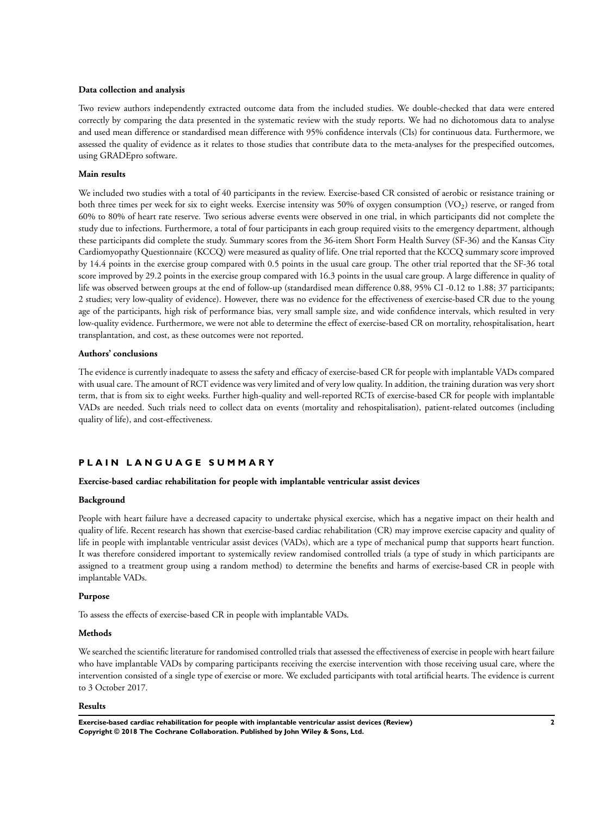### **Data collection and analysis**

Two review authors independently extracted outcome data from the included studies. We double-checked that data were entered correctly by comparing the data presented in the systematic review with the study reports. We had no dichotomous data to analyse and used mean difference or standardised mean difference with 95% confidence intervals (CIs) for continuous data. Furthermore, we assessed the quality of evidence as it relates to those studies that contribute data to the meta-analyses for the prespecified outcomes, using GRADEpro software.

### **Main results**

We included two studies with a total of 40 participants in the review. Exercise-based CR consisted of aerobic or resistance training or both three times per week for six to eight weeks. Exercise intensity was 50% of oxygen consumption (VO<sub>2</sub>) reserve, or ranged from 60% to 80% of heart rate reserve. Two serious adverse events were observed in one trial, in which participants did not complete the study due to infections. Furthermore, a total of four participants in each group required visits to the emergency department, although these participants did complete the study. Summary scores from the 36-item Short Form Health Survey (SF-36) and the Kansas City Cardiomyopathy Questionnaire (KCCQ) were measured as quality of life. One trial reported that the KCCQ summary score improved by 14.4 points in the exercise group compared with 0.5 points in the usual care group. The other trial reported that the SF-36 total score improved by 29.2 points in the exercise group compared with 16.3 points in the usual care group. A large difference in quality of life was observed between groups at the end of follow-up (standardised mean difference 0.88, 95% CI -0.12 to 1.88; 37 participants; 2 studies; very low-quality of evidence). However, there was no evidence for the effectiveness of exercise-based CR due to the young age of the participants, high risk of performance bias, very small sample size, and wide confidence intervals, which resulted in very low-quality evidence. Furthermore, we were not able to determine the effect of exercise-based CR on mortality, rehospitalisation, heart transplantation, and cost, as these outcomes were not reported.

#### **Authors' conclusions**

The evidence is currently inadequate to assess the safety and efficacy of exercise-based CR for people with implantable VADs compared with usual care. The amount of RCT evidence was very limited and of very low quality. In addition, the training duration was very short term, that is from six to eight weeks. Further high-quality and well-reported RCTs of exercise-based CR for people with implantable VADs are needed. Such trials need to collect data on events (mortality and rehospitalisation), patient-related outcomes (including quality of life), and cost-effectiveness.

### **P L A I N L A N G U A G E S U M M A R Y**

### **Exercise-based cardiac rehabilitation for people with implantable ventricular assist devices**

#### **Background**

People with heart failure have a decreased capacity to undertake physical exercise, which has a negative impact on their health and quality of life. Recent research has shown that exercise-based cardiac rehabilitation (CR) may improve exercise capacity and quality of life in people with implantable ventricular assist devices (VADs), which are a type of mechanical pump that supports heart function. It was therefore considered important to systemically review randomised controlled trials (a type of study in which participants are assigned to a treatment group using a random method) to determine the benefits and harms of exercise-based CR in people with implantable VADs.

### **Purpose**

To assess the effects of exercise-based CR in people with implantable VADs.

### **Methods**

We searched the scientific literature for randomised controlled trials that assessed the effectiveness of exercise in people with heart failure who have implantable VADs by comparing participants receiving the exercise intervention with those receiving usual care, where the intervention consisted of a single type of exercise or more. We excluded participants with total artificial hearts. The evidence is current to 3 October 2017.

#### **Results**

**Exercise-based cardiac rehabilitation for people with implantable ventricular assist devices (Review) 2 Copyright © 2018 The Cochrane Collaboration. Published by John Wiley & Sons, Ltd.**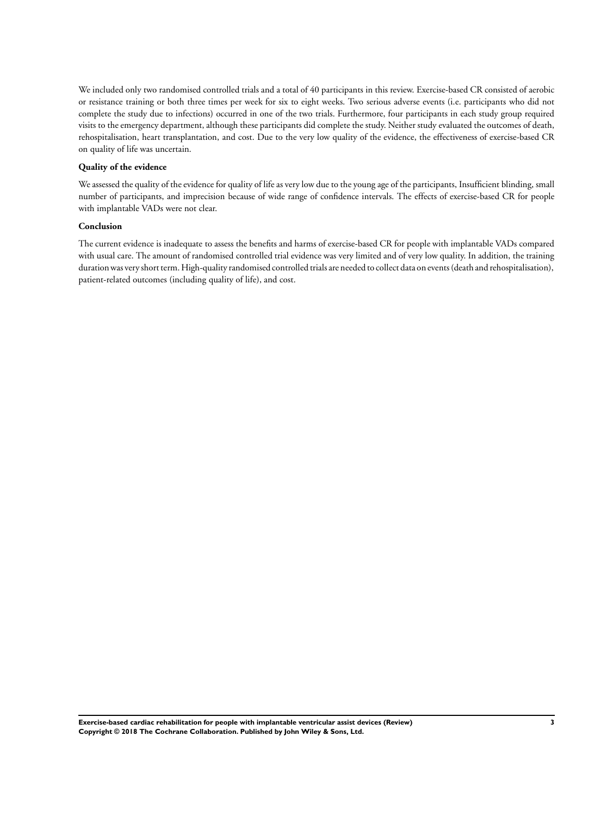We included only two randomised controlled trials and a total of 40 participants in this review. Exercise-based CR consisted of aerobic or resistance training or both three times per week for six to eight weeks. Two serious adverse events (i.e. participants who did not complete the study due to infections) occurred in one of the two trials. Furthermore, four participants in each study group required visits to the emergency department, although these participants did complete the study. Neither study evaluated the outcomes of death, rehospitalisation, heart transplantation, and cost. Due to the very low quality of the evidence, the effectiveness of exercise-based CR on quality of life was uncertain.

### **Quality of the evidence**

We assessed the quality of the evidence for quality of life as very low due to the young age of the participants, Insufficient blinding, small number of participants, and imprecision because of wide range of confidence intervals. The effects of exercise-based CR for people with implantable VADs were not clear.

### **Conclusion**

The current evidence is inadequate to assess the benefits and harms of exercise-based CR for people with implantable VADs compared with usual care. The amount of randomised controlled trial evidence was very limited and of very low quality. In addition, the training duration was very short term. High-quality randomised controlled trials are needed to collect data on events (death and rehospitalisation), patient-related outcomes (including quality of life), and cost.

**Exercise-based cardiac rehabilitation for people with implantable ventricular assist devices (Review) 3 Copyright © 2018 The Cochrane Collaboration. Published by John Wiley & Sons, Ltd.**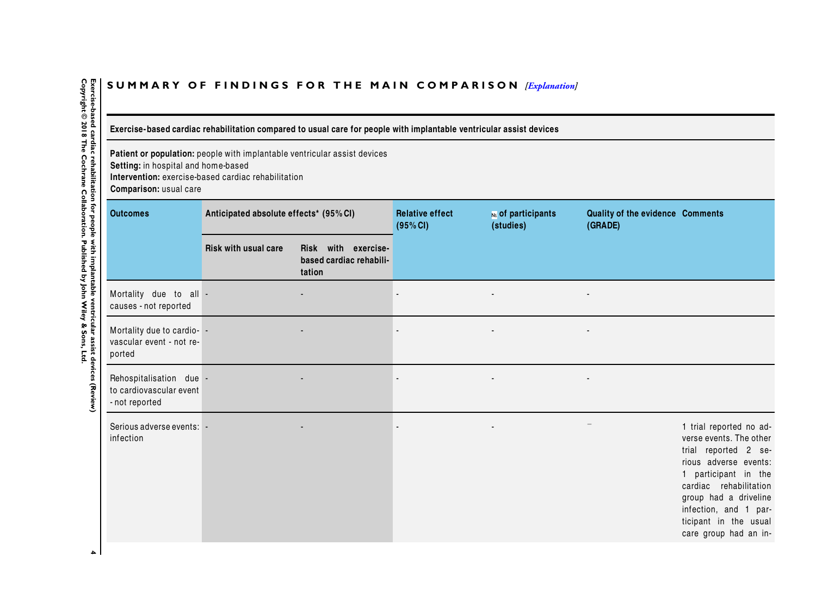# SUMMARY OF FINDINGS FOR THE MAIN COMPARISON *[\[Explanation\]](http://www.thecochranelibrary.com/view/0/SummaryFindings.html)*

Exercise-based cardiac rehabilitation compared to usual care for people with implantable ventricular assist devices

**Patient or population:** people with implantable ventricular assist devices

**Setting:** in hospital and home-based

**Intervention:** exercise-based cardiac rehabilitation

**Comparison:** usual care

| <b>Outcomes</b>                                                      | Anticipated absolute effects* (95% CI) |                                                          | <b>Relative effect</b><br>(95% CI) | № of participants<br>(studies) | Quality of the evidence Comments<br>(GRADE) |                                                                                                                                                                                                                                                           |
|----------------------------------------------------------------------|----------------------------------------|----------------------------------------------------------|------------------------------------|--------------------------------|---------------------------------------------|-----------------------------------------------------------------------------------------------------------------------------------------------------------------------------------------------------------------------------------------------------------|
|                                                                      | <b>Risk with usual care</b>            | Risk with exercise-<br>based cardiac rehabili-<br>tation |                                    |                                |                                             |                                                                                                                                                                                                                                                           |
| Mortality due to all -<br>causes - not reported                      |                                        |                                                          | $\blacksquare$                     |                                |                                             |                                                                                                                                                                                                                                                           |
| Mortality due to cardio- -<br>vascular event - not re-<br>ported     |                                        |                                                          |                                    |                                |                                             |                                                                                                                                                                                                                                                           |
| Rehospitalisation due -<br>to cardiovascular event<br>- not reported |                                        |                                                          | $\blacksquare$                     |                                |                                             |                                                                                                                                                                                                                                                           |
| Serious adverse events: -<br>infection                               |                                        |                                                          |                                    |                                |                                             | 1 trial reported no ad-<br>verse events. The other<br>trial reported 2 se-<br>rious adverse events:<br>1 participant in the<br>cardiac rehabilitation<br>group had a driveline<br>infection, and 1 par-<br>ticipant in the usual<br>care group had an in- |

<span id="page-5-0"></span>Exercise-based cardiac rehabilitation for people with implantable ventricular assist devices (Review)<br>Copyright © 2018 The Cochrane Collaboration. Published by John Wiley & Sons, Ltd. **Copyright © 2018 The Cochrane Collaboration. Published by John Wiley & Sons, Ltd.4 Exercise-based cardiac rehabilitation for people with implantable ventricular assist devices (Review)**

 $\blacktriangle$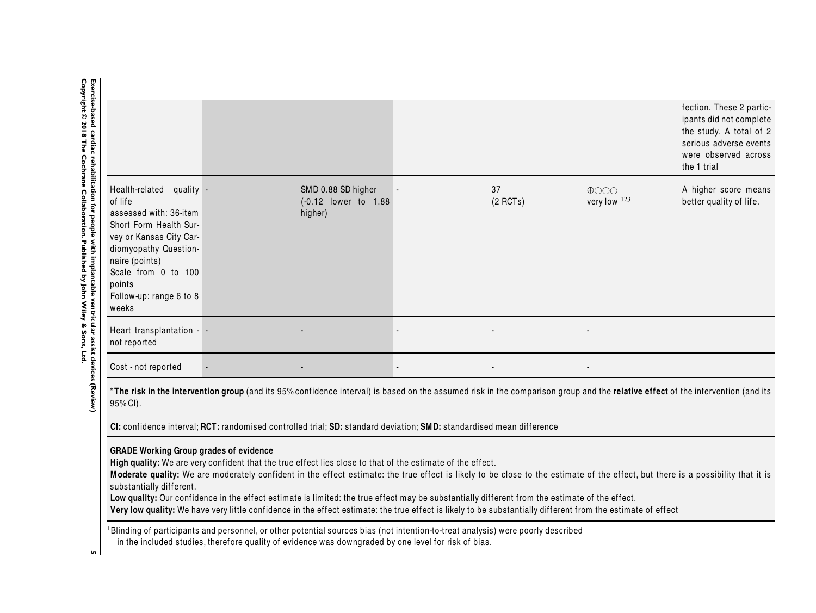|                                                                                                                                                                                                                                    |                                                       |                                                      |                                   | fection. These 2 partic-<br>ipants did not complete<br>the study. A total of 2<br>serious adverse events<br>were observed across<br>the 1 trial |
|------------------------------------------------------------------------------------------------------------------------------------------------------------------------------------------------------------------------------------|-------------------------------------------------------|------------------------------------------------------|-----------------------------------|-------------------------------------------------------------------------------------------------------------------------------------------------|
| Health-related quality -<br>of life<br>assessed with: 36-item<br>Short Form Health Sur-<br>vey or Kansas City Car-<br>diomyopathy Question-<br>naire (points)<br>Scale from 0 to 100<br>points<br>Follow-up: range 6 to 8<br>weeks | SMD 0.88 SD higher<br>(-0.12 lower to 1.88<br>higher) | 37<br>(2 RCTs)                                       | $\bigoplus$ OOO<br>very low $123$ | A higher score means<br>better quality of life.                                                                                                 |
| Heart transplantation - -<br>not reported                                                                                                                                                                                          | $\blacksquare$                                        | $\overline{\phantom{a}}$                             | $\overline{\phantom{a}}$          |                                                                                                                                                 |
| Cost - not reported                                                                                                                                                                                                                | $\sim$<br>$\overline{\phantom{a}}$                    | $\overline{\phantom{a}}$<br>$\overline{\phantom{a}}$ | ٠                                 |                                                                                                                                                 |

\***The risk in the intervention group** (and its 95% confidence interval) is based on the assumed risk in the comparison group and the **relative effect** of the intervention (and its<br>ครช. CN 95% CI).

**CI:** conf idence interval; **RCT:** random ised controlled trial; **SD:** standard deviation; **SMD:** standardised mean difference

# **GRADE Working Group grades of evidence**

**High quality:** We are very confident that the true effect lies close to that of the estimate of the effect.<br>Moderate quality: We are moderately confident in the effect estimate: the true effect is likely to be

Moderate quality: We are moderately confident in the effect estimate: the true effect is likely to be close to the estimate of the effect, but there is a possibility that it is substantially different.

Low quality: Our confidence in the effect estimate is limited: the true effect may be substantially different from the estimate of the effect.

Very low quality: We have very little confidence in the effect estimate: the true effect is likely to be substantially different from the estimate of effect

<sup>1</sup>Blinding of participants and personnel, or other potential sources bias (not intention-to-treat analysis) were poorly described in the included studies, therefore quality of evidence was downgraded by one level for risk of bias.

Exercise-based cardiac rehabilitation for people with implantable ventricular assist devices<br>Copyright © 2018 The Cochrane Collaboration. Published by John Wiley & Sons, Ltd. **Copyright © 2018 The Cochrane Collaboration. Published by John Wiley & Sons, Ltd.Exarcise-based cardiac rehabilitation for people vith implantable ventricular assist devices (** $\mathbf{R}$ **evices (** $\mathbf{R}$ (Review)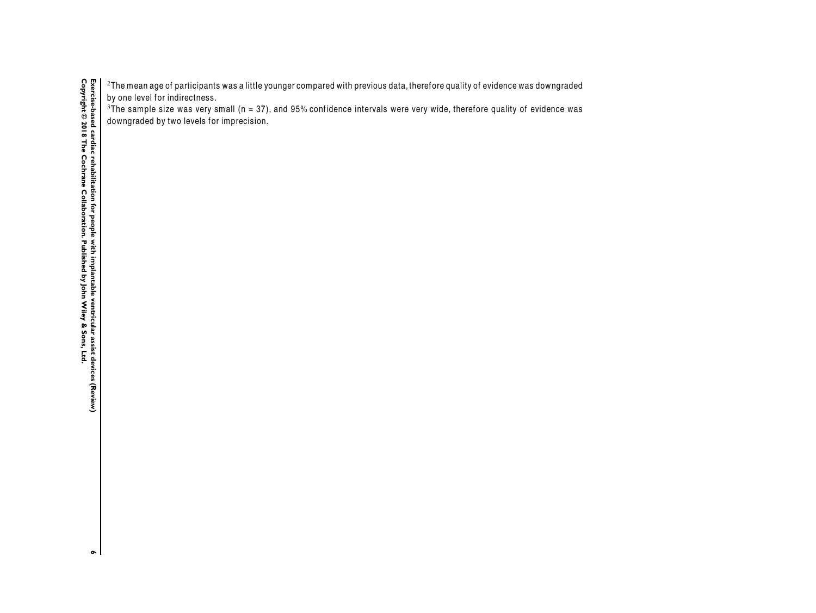$^2$ The mean age of participants was a little younger compared with previous data, therefore quality of evidence was downgraded by one level for indirectness.

 $^3$ The sample size was very small (n = 37), and 95% confidence intervals were very wide, therefore quality of evidence was downgraded by two levels for imprecision.

 $\sim$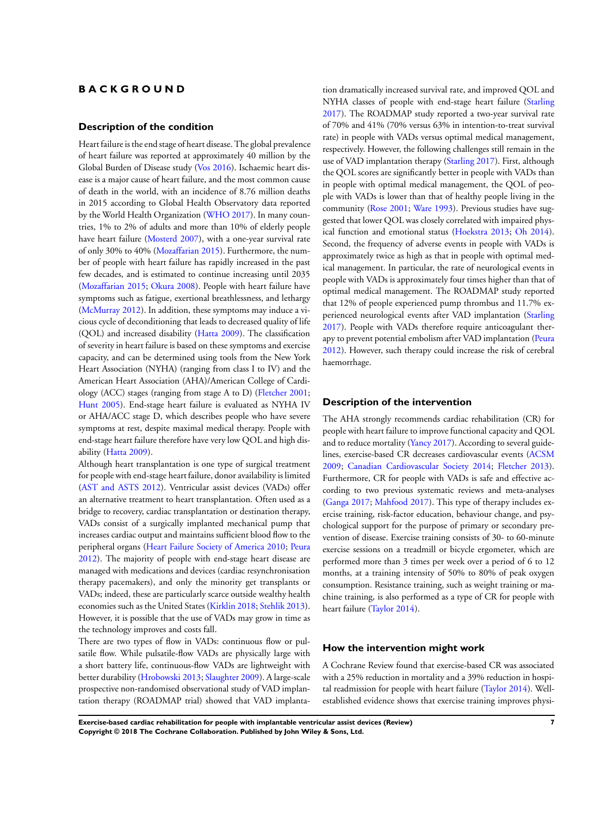### **B A C K G R O U N D**

#### **Description of the condition**

Heart failure is the end stage of heart disease. The global prevalence of heart failure was reported at approximately 40 million by the Global Burden of Disease study ([Vos 2016\)](#page-19-0). Ischaemic heart disease is a major cause of heart failure, and the most common cause of death in the world, with an incidence of 8.76 million deaths in 2015 according to Global Health Observatory data reported by the World Health Organization [\(WHO 2017](#page-19-0)). In many countries, 1% to 2% of adults and more than 10% of elderly people have heart failure [\(Mosterd 2007\)](#page-19-0), with a one-year survival rate of only 30% to 40% ([Mozaffarian 2015](#page-19-0)). Furthermore, the number of people with heart failure has rapidly increased in the past few decades, and is estimated to continue increasing until 2035 [\(Mozaffarian 2015;](#page-19-0) [Okura 2008\)](#page-19-0). People with heart failure have symptoms such as fatigue, exertional breathlessness, and lethargy [\(McMurray 2012\)](#page-19-0). In addition, these symptoms may induce a vicious cycle of deconditioning that leads to decreased quality of life (QOL) and increased disability ([Hatta 2009\)](#page-19-0). The classification of severity in heart failure is based on these symptoms and exercise capacity, and can be determined using tools from the New York Heart Association (NYHA) (ranging from class I to IV) and the American Heart Association (AHA)/American College of Cardiology (ACC) stages (ranging from stage A to D) [\(Fletcher 2001;](#page-19-0) [Hunt 2005\)](#page-19-0). End-stage heart failure is evaluated as NYHA IV or AHA/ACC stage D, which describes people who have severe symptoms at rest, despite maximal medical therapy. People with end-stage heart failure therefore have very low QOL and high disability ([Hatta 2009](#page-19-0)).

Although heart transplantation is one type of surgical treatment for people with end-stage heart failure, donor availability is limited [\(AST and ASTS 2012](#page-19-0)). Ventricular assist devices (VADs) offer an alternative treatment to heart transplantation. Often used as a bridge to recovery, cardiac transplantation or destination therapy, VADs consist of a surgically implanted mechanical pump that increases cardiac output and maintains sufficient blood flow to the peripheral organs ([Heart Failure Society of America 2010](#page-19-0); [Peura](#page-19-0) [2012](#page-19-0)). The majority of people with end-stage heart disease are managed with medications and devices (cardiac resynchronisation therapy pacemakers), and only the minority get transplants or VADs; indeed, these are particularly scarce outside wealthy health economies such as the United States ([Kirklin 2018](#page-19-0); [Stehlik 2013](#page-19-0)). However, it is possible that the use of VADs may grow in time as the technology improves and costs fall.

There are two types of flow in VADs: continuous flow or pulsatile flow. While pulsatile-flow VADs are physically large with a short battery life, continuous-flow VADs are lightweight with better durability ([Hrobowski 2013](#page-19-0); [Slaughter 2009\)](#page-19-0). A large-scale prospective non-randomised observational study of VAD implantation therapy (ROADMAP trial) showed that VAD implanta-

tion dramatically increased survival rate, and improved QOL and NYHA classes of people with end-stage heart failure [\(Starling](#page-19-0) [2017](#page-19-0)). The ROADMAP study reported a two-year survival rate of 70% and 41% (70% versus 63% in intention-to-treat survival rate) in people with VADs versus optimal medical management, respectively. However, the following challenges still remain in the use of VAD implantation therapy ([Starling 2017](#page-19-0)). First, although the QOL scores are significantly better in people with VADs than in people with optimal medical management, the QOL of people with VADs is lower than that of healthy people living in the community [\(Rose 2001](#page-19-0); [Ware 1993\)](#page-19-0). Previous studies have suggested that lower QOL was closely correlated with impaired physical function and emotional status ([Hoekstra 2013;](#page-19-0) [Oh 2014](#page-19-0)). Second, the frequency of adverse events in people with VADs is approximately twice as high as that in people with optimal medical management. In particular, the rate of neurological events in people with VADs is approximately four times higher than that of optimal medical management. The ROADMAP study reported that 12% of people experienced pump thrombus and 11.7% experienced neurological events after VAD implantation [\(Starling](#page-19-0) [2017](#page-19-0)). People with VADs therefore require anticoagulant therapy to prevent potential embolism after VAD implantation [\(Peura](#page-19-0) [2012](#page-19-0)). However, such therapy could increase the risk of cerebral haemorrhage.

### **Description of the intervention**

The AHA strongly recommends cardiac rehabilitation (CR) for people with heart failure to improve functional capacity and QOL and to reduce mortality [\(Yancy 2017](#page-19-0)). According to several guidelines, exercise-based CR decreases cardiovascular events ([ACSM](#page-19-0) [2009](#page-19-0); [Canadian Cardiovascular Society 2014;](#page-19-0) [Fletcher 2013](#page-19-0)). Furthermore, CR for people with VADs is safe and effective according to two previous systematic reviews and meta-analyses [\(Ganga 2017](#page-19-0); [Mahfood 2017](#page-19-0)). This type of therapy includes exercise training, risk-factor education, behaviour change, and psychological support for the purpose of primary or secondary prevention of disease. Exercise training consists of 30- to 60-minute exercise sessions on a treadmill or bicycle ergometer, which are performed more than 3 times per week over a period of 6 to 12 months, at a training intensity of 50% to 80% of peak oxygen consumption. Resistance training, such as weight training or machine training, is also performed as a type of CR for people with heart failure [\(Taylor 2014](#page-19-0)).

### **How the intervention might work**

A Cochrane Review found that exercise-based CR was associated with a 25% reduction in mortality and a 39% reduction in hospital readmission for people with heart failure ([Taylor 2014](#page-19-0)). Wellestablished evidence shows that exercise training improves physi-

**Exercise-based cardiac rehabilitation for people with implantable ventricular assist devices (Review) 7 Copyright © 2018 The Cochrane Collaboration. Published by John Wiley & Sons, Ltd.**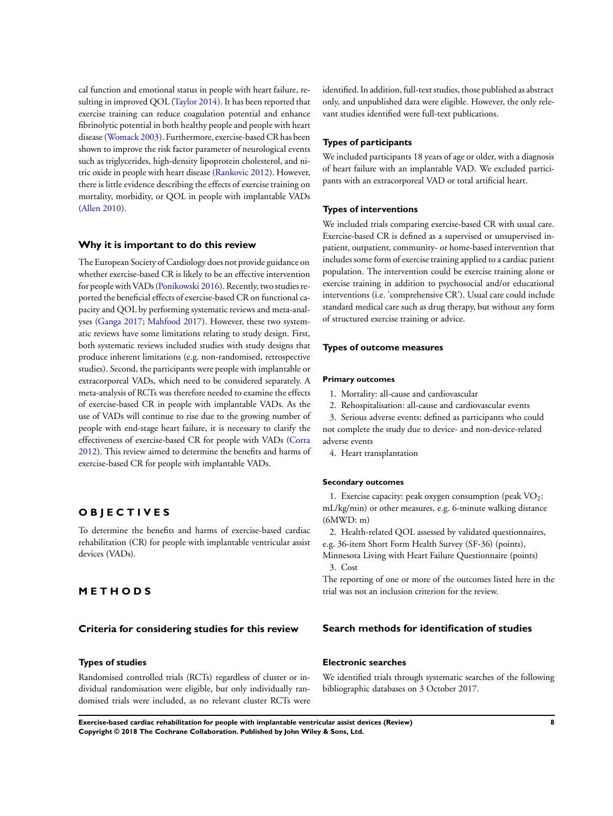cal function and emotional status in people with heart failure, resulting in improved QOL [\(Taylor 2014\)](#page-19-0). It has been reported that exercise training can reduce coagulation potential and enhance fibrinolytic potential in both healthy people and people with heart disease ([Womack 2003](#page-19-0)). Furthermore, exercise-based CR has been shown to improve the risk factor parameter of neurological events such as triglycerides, high-density lipoprotein cholesterol, and nitric oxide in people with heart disease ([Rankovic 2012](#page-19-0)). However, there is little evidence describing the effects of exercise training on mortality, morbidity, or QOL in people with implantable VADs [\(Allen 2010\)](#page-19-0).

### **Why it is important to do this review**

The European Society of Cardiology does not provide guidance on whether exercise-based CR is likely to be an effective intervention for people with VADs ([Ponikowski 2016](#page-19-0)). Recently, two studies reported the beneficial effects of exercise-based CR on functional capacity and QOL by performing systematic reviews and meta-analyses [\(Ganga 2017](#page-19-0); [Mahfood 2017](#page-19-0)). However, these two systematic reviews have some limitations relating to study design. First, both systematic reviews included studies with study designs that produce inherent limitations (e.g. non-randomised, retrospective studies). Second, the participants were people with implantable or extracorporeal VADs, which need to be considered separately. A meta-analysis of RCTs was therefore needed to examine the effects of exercise-based CR in people with implantable VADs. As the use of VADs will continue to rise due to the growing number of people with end-stage heart failure, it is necessary to clarify the effectiveness of exercise-based CR for people with VADs ([Corra](#page-19-0) [2012](#page-19-0)). This review aimed to determine the benefits and harms of exercise-based CR for people with implantable VADs.

# **O B J E C T I V E S**

To determine the benefits and harms of exercise-based cardiac rehabilitation (CR) for people with implantable ventricular assist devices (VADs).

# **M E T H O D S**

### **Criteria for considering studies for this review**

### **Types of studies**

Randomised controlled trials (RCTs) regardless of cluster or individual randomisation were eligible, but only individually randomised trials were included, as no relevant cluster RCTs were

identified. In addition, full-text studies, those published as abstract only, and unpublished data were eligible. However, the only relevant studies identified were full-text publications.

### **Types of participants**

We included participants 18 years of age or older, with a diagnosis of heart failure with an implantable VAD. We excluded participants with an extracorporeal VAD or total artificial heart.

### **Types of interventions**

We included trials comparing exercise-based CR with usual care. Exercise-based CR is defined as a supervised or unsupervised inpatient, outpatient, community- or home-based intervention that includes some form of exercise training applied to a cardiac patient population. The intervention could be exercise training alone or exercise training in addition to psychosocial and/or educational interventions (i.e. 'comprehensive CR'). Usual care could include standard medical care such as drug therapy, but without any form of structured exercise training or advice.

#### **Types of outcome measures**

### **Primary outcomes**

1. Mortality: all-cause and cardiovascular

2. Rehospitalisation: all-cause and cardiovascular events

3. Serious adverse events: defined as participants who could not complete the study due to device- and non-device-related adverse events

4. Heart transplantation

#### **Secondary outcomes**

1. Exercise capacity: peak oxygen consumption (peak  $VO_2$ : mL/kg/min) or other measures, e.g. 6-minute walking distance (6MWD: m)

2. Health-related QOL assessed by validated questionnaires, e.g. 36-item Short Form Health Survey (SF-36) (points),

Minnesota Living with Heart Failure Questionnaire (points) 3. Cost

The reporting of one or more of the outcomes listed here in the trial was not an inclusion criterion for the review.

# **Search methods for identification of studies**

### **Electronic searches**

We identified trials through systematic searches of the following bibliographic databases on 3 October 2017.

**Exercise-based cardiac rehabilitation for people with implantable ventricular assist devices (Review) 8 Copyright © 2018 The Cochrane Collaboration. Published by John Wiley & Sons, Ltd.**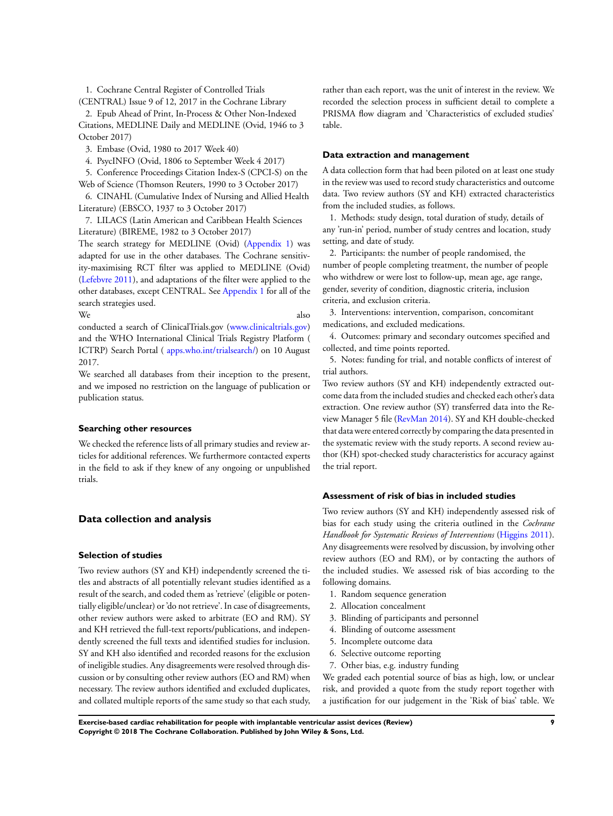1. Cochrane Central Register of Controlled Trials (CENTRAL) Issue 9 of 12, 2017 in the Cochrane Library

2. Epub Ahead of Print, In-Process & Other Non-Indexed Citations, MEDLINE Daily and MEDLINE (Ovid, 1946 to 3 October 2017)

- 3. Embase (Ovid, 1980 to 2017 Week 40)
- 4. PsycINFO (Ovid, 1806 to September Week 4 2017)
- 5. Conference Proceedings Citation Index-S (CPCI-S) on the

Web of Science (Thomson Reuters, 1990 to 3 October 2017)

6. CINAHL (Cumulative Index of Nursing and Allied Health Literature) (EBSCO, 1937 to 3 October 2017)

7. LILACS (Latin American and Caribbean Health Sciences Literature) (BIREME, 1982 to 3 October 2017)

The search strategy for MEDLINE (Ovid) ([Appendix 1\)](#page-31-0) was adapted for use in the other databases. The Cochrane sensitivity-maximising RCT filter was applied to MEDLINE (Ovid) [\(Lefebvre 2011\)](#page-19-0), and adaptations of the filter were applied to the other databases, except CENTRAL. See [Appendix 1](#page-31-0) for all of the search strategies used.

We also conducted a search of ClinicalTrials.gov ([www.clinicaltrials.gov](http://www.clinicaltrials.gov)) and the WHO International Clinical Trials Registry Platform ( ICTRP) Search Portal ( [apps.who.int/trialsearch/\)](http://apps.who.int/trialsearch/) on 10 August 2017.

We searched all databases from their inception to the present, and we imposed no restriction on the language of publication or publication status.

#### **Searching other resources**

We checked the reference lists of all primary studies and review articles for additional references. We furthermore contacted experts in the field to ask if they knew of any ongoing or unpublished trials.

#### **Data collection and analysis**

### **Selection of studies**

Two review authors (SY and KH) independently screened the titles and abstracts of all potentially relevant studies identified as a result of the search, and coded them as 'retrieve' (eligible or potentially eligible/unclear) or 'do not retrieve'. In case of disagreements, other review authors were asked to arbitrate (EO and RM). SY and KH retrieved the full-text reports/publications, and independently screened the full texts and identified studies for inclusion. SY and KH also identified and recorded reasons for the exclusion of ineligible studies. Any disagreements were resolved through discussion or by consulting other review authors (EO and RM) when necessary. The review authors identified and excluded duplicates, and collated multiple reports of the same study so that each study,

rather than each report, was the unit of interest in the review. We recorded the selection process in sufficient detail to complete a PRISMA flow diagram and 'Characteristics of excluded studies' table.

### **Data extraction and management**

A data collection form that had been piloted on at least one study in the review was used to record study characteristics and outcome data. Two review authors (SY and KH) extracted characteristics from the included studies, as follows.

1. Methods: study design, total duration of study, details of any 'run-in' period, number of study centres and location, study setting, and date of study.

2. Participants: the number of people randomised, the number of people completing treatment, the number of people who withdrew or were lost to follow-up, mean age, age range, gender, severity of condition, diagnostic criteria, inclusion criteria, and exclusion criteria.

3. Interventions: intervention, comparison, concomitant medications, and excluded medications.

4. Outcomes: primary and secondary outcomes specified and collected, and time points reported.

5. Notes: funding for trial, and notable conflicts of interest of trial authors.

Two review authors (SY and KH) independently extracted outcome data from the included studies and checked each other's data extraction. One review author (SY) transferred data into the Review Manager 5 file [\(RevMan 2014\)](#page-19-0). SY and KH double-checked that data were entered correctly by comparing the data presented in the systematic review with the study reports. A second review author (KH) spot-checked study characteristics for accuracy against the trial report.

#### **Assessment of risk of bias in included studies**

Two review authors (SY and KH) independently assessed risk of bias for each study using the criteria outlined in the *Cochrane Handbook for Systematic Reviews of Interventions* [\(Higgins 2011](#page-19-0)). Any disagreements were resolved by discussion, by involving other review authors (EO and RM), or by contacting the authors of the included studies. We assessed risk of bias according to the following domains.

- 1. Random sequence generation
- 2. Allocation concealment
- 3. Blinding of participants and personnel
- 4. Blinding of outcome assessment
- 5. Incomplete outcome data
- 6. Selective outcome reporting
- 7. Other bias, e.g. industry funding

We graded each potential source of bias as high, low, or unclear risk, and provided a quote from the study report together with a justification for our judgement in the 'Risk of bias' table. We

**Exercise-based cardiac rehabilitation for people with implantable ventricular assist devices (Review) 9 Copyright © 2018 The Cochrane Collaboration. Published by John Wiley & Sons, Ltd.**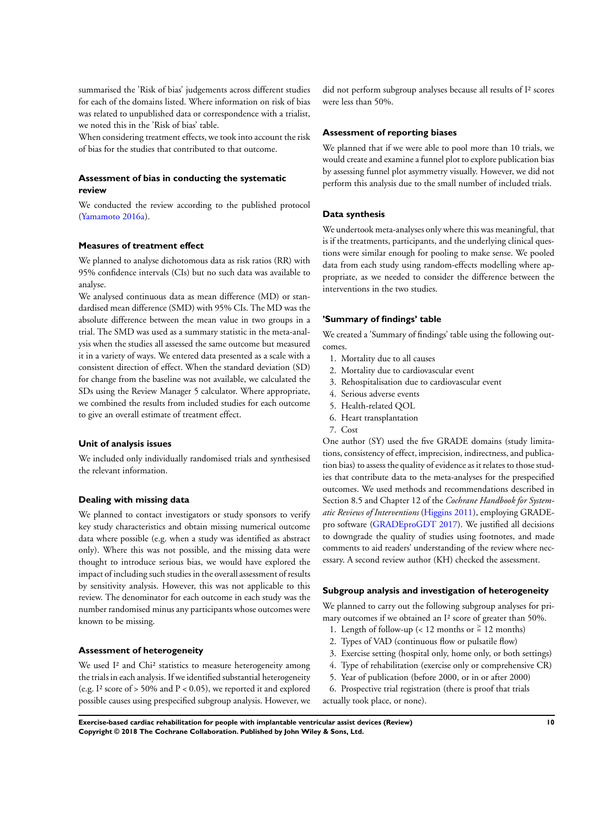summarised the 'Risk of bias' judgements across different studies for each of the domains listed. Where information on risk of bias was related to unpublished data or correspondence with a trialist, we noted this in the 'Risk of bias' table.

When considering treatment effects, we took into account the risk of bias for the studies that contributed to that outcome.

### **Assessment of bias in conducting the systematic review**

We conducted the review according to the published protocol [\(Yamamoto 2016a](#page-19-0)).

### **Measures of treatment effect**

We planned to analyse dichotomous data as risk ratios (RR) with 95% confidence intervals (CIs) but no such data was available to analyse.

We analysed continuous data as mean difference (MD) or standardised mean difference (SMD) with 95% CIs. The MD was the absolute difference between the mean value in two groups in a trial. The SMD was used as a summary statistic in the meta-analysis when the studies all assessed the same outcome but measured it in a variety of ways. We entered data presented as a scale with a consistent direction of effect. When the standard deviation (SD) for change from the baseline was not available, we calculated the SDs using the Review Manager 5 calculator. Where appropriate, we combined the results from included studies for each outcome to give an overall estimate of treatment effect.

#### **Unit of analysis issues**

We included only individually randomised trials and synthesised the relevant information.

### **Dealing with missing data**

We planned to contact investigators or study sponsors to verify key study characteristics and obtain missing numerical outcome data where possible (e.g. when a study was identified as abstract only). Where this was not possible, and the missing data were thought to introduce serious bias, we would have explored the impact of including such studies in the overall assessment of results by sensitivity analysis. However, this was not applicable to this review. The denominator for each outcome in each study was the number randomised minus any participants whose outcomes were known to be missing.

### **Assessment of heterogeneity**

We used I<sup>2</sup> and Chi<sup>2</sup> statistics to measure heterogeneity among the trials in each analysis. If we identified substantial heterogeneity (e.g. I² score of > 50% and P < 0.05), we reported it and explored possible causes using prespecified subgroup analysis. However, we

did not perform subgroup analyses because all results of I² scores were less than 50%.

#### **Assessment of reporting biases**

We planned that if we were able to pool more than 10 trials, we would create and examine a funnel plot to explore publication bias by assessing funnel plot asymmetry visually. However, we did not perform this analysis due to the small number of included trials.

### **Data synthesis**

We undertook meta-analyses only where this was meaningful, that is if the treatments, participants, and the underlying clinical questions were similar enough for pooling to make sense. We pooled data from each study using random-effects modelling where appropriate, as we needed to consider the difference between the interventions in the two studies.

#### **'Summary of findings' table**

We created a 'Summary of findings' table using the following outcomes.

- 1. Mortality due to all causes
- 2. Mortality due to cardiovascular event
- 3. Rehospitalisation due to cardiovascular event
- 4. Serious adverse events
- 5. Health-related QOL
- 6. Heart transplantation
- 7. Cost

One author (SY) used the five GRADE domains (study limitations, consistency of effect, imprecision, indirectness, and publication bias) to assess the quality of evidence as it relates to those studies that contribute data to the meta-analyses for the prespecified outcomes. We used methods and recommendations described in Section 8.5 and Chapter 12 of the *Cochrane Handbook for Systematic Reviews of Interventions* [\(Higgins 2011](#page-19-0)), employing GRADEpro software ([GRADEproGDT 2017](#page-19-0)). We justified all decisions to downgrade the quality of studies using footnotes, and made comments to aid readers' understanding of the review where necessary. A second review author (KH) checked the assessment.

#### **Subgroup analysis and investigation of heterogeneity**

We planned to carry out the following subgroup analyses for primary outcomes if we obtained an I² score of greater than 50%.

- 1. Length of follow-up (< 12 months or  $\geq$  12 months)
- 2. Types of VAD (continuous flow or pulsatile flow)
- 3. Exercise setting (hospital only, home only, or both settings)
- 4. Type of rehabilitation (exercise only or comprehensive CR)
- 5. Year of publication (before 2000, or in or after 2000)
- 6. Prospective trial registration (there is proof that trials actually took place, or none).

**Exercise-based cardiac rehabilitation for people with implantable ventricular assist devices (Review) 10 Copyright © 2018 The Cochrane Collaboration. Published by John Wiley & Sons, Ltd.**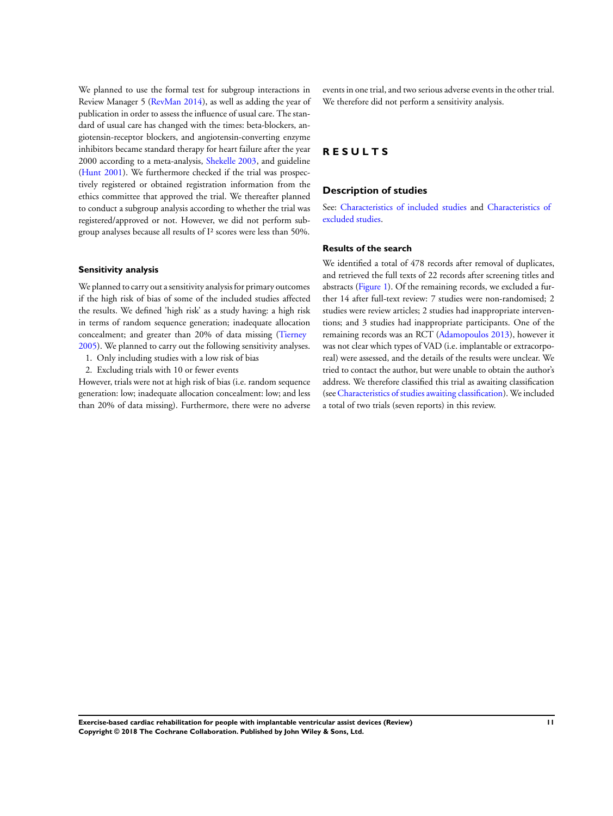We planned to use the formal test for subgroup interactions in Review Manager 5 [\(RevMan 2014](#page-19-0)), as well as adding the year of publication in order to assess the influence of usual care. The standard of usual care has changed with the times: beta-blockers, angiotensin-receptor blockers, and angiotensin-converting enzyme inhibitors became standard therapy for heart failure after the year 2000 according to a meta-analysis, [Shekelle 2003](#page-19-0), and guideline [\(Hunt 2001](#page-19-0)). We furthermore checked if the trial was prospectively registered or obtained registration information from the ethics committee that approved the trial. We thereafter planned to conduct a subgroup analysis according to whether the trial was registered/approved or not. However, we did not perform subgroup analyses because all results of I² scores were less than 50%.

### **Sensitivity analysis**

We planned to carry out a sensitivity analysis for primary outcomes if the high risk of bias of some of the included studies affected the results. We defined 'high risk' as a study having: a high risk in terms of random sequence generation; inadequate allocation concealment; and greater than 20% of data missing ([Tierney](#page-19-0) [2005](#page-19-0)). We planned to carry out the following sensitivity analyses.

- 1. Only including studies with a low risk of bias
- 2. Excluding trials with 10 or fewer events

However, trials were not at high risk of bias (i.e. random sequence generation: low; inadequate allocation concealment: low; and less than 20% of data missing). Furthermore, there were no adverse events in one trial, and two serious adverse events in the other trial. We therefore did not perform a sensitivity analysis.

# **R E S U L T S**

### **Description of studies**

See: [Characteristics of included studies](#page-24-0) and [Characteristics of](#page-27-0) [excluded studies.](#page-27-0)

### **Results of the search**

We identified a total of 478 records after removal of duplicates, and retrieved the full texts of 22 records after screening titles and abstracts ([Figure 1](#page-13-0)). Of the remaining records, we excluded a further 14 after full-text review: 7 studies were non-randomised; 2 studies were review articles; 2 studies had inappropriate interventions; and 3 studies had inappropriate participants. One of the remaining records was an RCT [\(Adamopoulos 2013\)](#page-19-0), however it was not clear which types of VAD (i.e. implantable or extracorporeal) were assessed, and the details of the results were unclear. We tried to contact the author, but were unable to obtain the author's address. We therefore classified this trial as awaiting classification (see[Characteristics of studies awaiting classification](#page-27-0)). We included a total of two trials (seven reports) in this review.

**Exercise-based cardiac rehabilitation for people with implantable ventricular assist devices (Review) 11 Copyright © 2018 The Cochrane Collaboration. Published by John Wiley & Sons, Ltd.**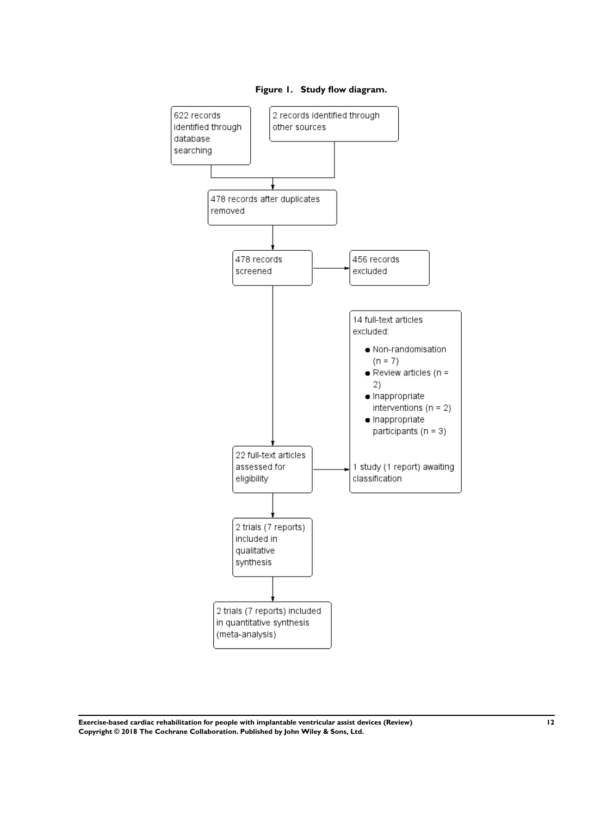<span id="page-13-0"></span>

**Figure 1. Study flow diagram.**

**Exercise-based cardiac rehabilitation for people with implantable ventricular assist devices (Review) 12 Copyright © 2018 The Cochrane Collaboration. Published by John Wiley & Sons, Ltd.**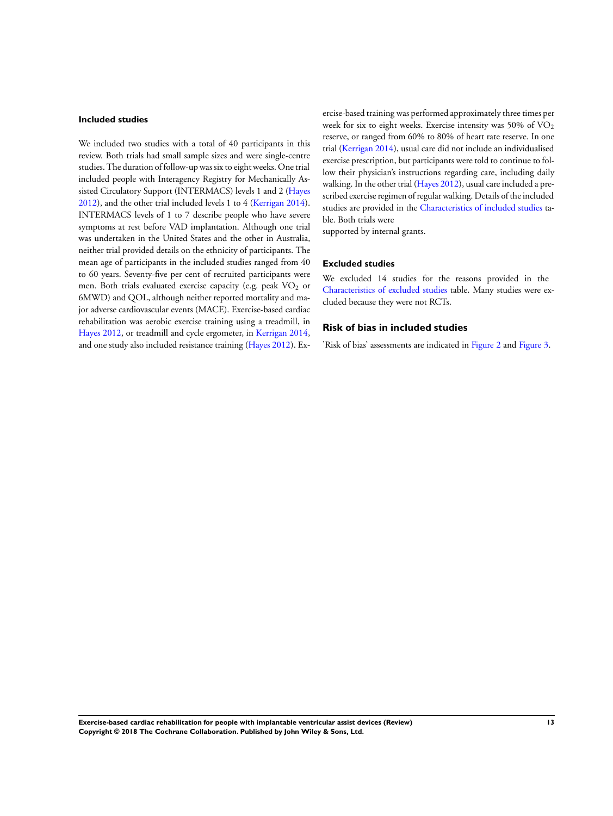### **Included studies**

We included two studies with a total of 40 participants in this review. Both trials had small sample sizes and were single-centre studies. The duration of follow-up was six to eight weeks. One trial included people with Interagency Registry for Mechanically Assisted Circulatory Support (INTERMACS) levels 1 and 2 ([Hayes](#page-19-0) [2012](#page-19-0)), and the other trial included levels 1 to 4 ([Kerrigan 2014](#page-19-0)). INTERMACS levels of 1 to 7 describe people who have severe symptoms at rest before VAD implantation. Although one trial was undertaken in the United States and the other in Australia, neither trial provided details on the ethnicity of participants. The mean age of participants in the included studies ranged from 40 to 60 years. Seventy-five per cent of recruited participants were men. Both trials evaluated exercise capacity (e.g. peak VO<sub>2</sub> or 6MWD) and QOL, although neither reported mortality and major adverse cardiovascular events (MACE). Exercise-based cardiac rehabilitation was aerobic exercise training using a treadmill, in [Hayes 2012,](#page-19-0) or treadmill and cycle ergometer, in [Kerrigan 2014,](#page-19-0) and one study also included resistance training ([Hayes 2012](#page-19-0)). Exercise-based training was performed approximately three times per week for six to eight weeks. Exercise intensity was 50% of VO<sub>2</sub> reserve, or ranged from 60% to 80% of heart rate reserve. In one trial ([Kerrigan 2014](#page-19-0)), usual care did not include an individualised exercise prescription, but participants were told to continue to follow their physician's instructions regarding care, including daily walking. In the other trial ([Hayes 2012](#page-19-0)), usual care included a prescribed exercise regimen of regular walking. Details of the included studies are provided in the [Characteristics of included studies](#page-24-0) table. Both trials were

supported by internal grants.

#### **Excluded studies**

We excluded 14 studies for the reasons provided in the [Characteristics of excluded studies](#page-27-0) table. Many studies were excluded because they were not RCTs.

### **Risk of bias in included studies**

'Risk of bias' assessments are indicated in [Figure 2](#page-15-0) and [Figure 3](#page-16-0).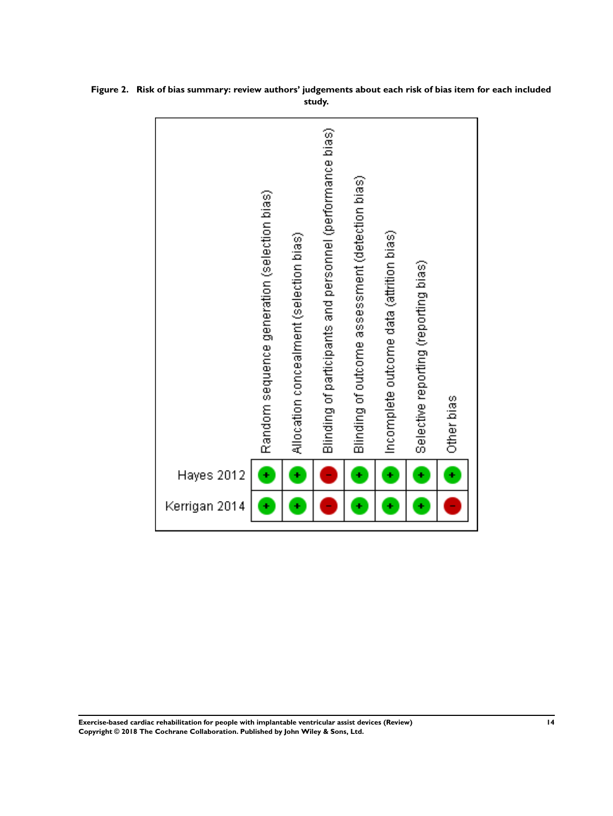

<span id="page-15-0"></span>**Figure 2. Risk of bias summary: review authors' judgements about each risk of bias item for each included study.**

**Exercise-based cardiac rehabilitation for people with implantable ventricular assist devices (Review) 14 Copyright © 2018 The Cochrane Collaboration. Published by John Wiley & Sons, Ltd.**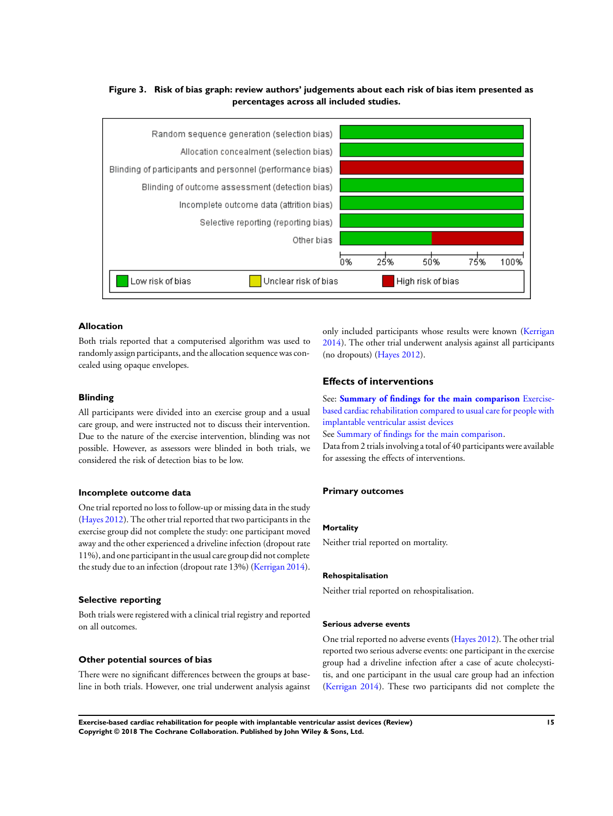### <span id="page-16-0"></span>**Figure 3. Risk of bias graph: review authors' judgements about each risk of bias item presented as percentages across all included studies.**



### **Allocation**

Both trials reported that a computerised algorithm was used to randomly assign participants, and the allocation sequence was concealed using opaque envelopes.

**Blinding**

All participants were divided into an exercise group and a usual care group, and were instructed not to discuss their intervention. Due to the nature of the exercise intervention, blinding was not possible. However, as assessors were blinded in both trials, we considered the risk of detection bias to be low.

### **Incomplete outcome data**

One trial reported no loss to follow-up or missing data in the study [\(Hayes 2012\)](#page-19-0). The other trial reported that two participants in the exercise group did not complete the study: one participant moved away and the other experienced a driveline infection (dropout rate 11%), and one participant in the usual care group did not complete the study due to an infection (dropout rate 13%) [\(Kerrigan 2014](#page-19-0)).

### **Selective reporting**

Both trials were registered with a clinical trial registry and reported on all outcomes.

### **Other potential sources of bias**

There were no significant differences between the groups at baseline in both trials. However, one trial underwent analysis against only included participants whose results were known ([Kerrigan](#page-19-0) [2014](#page-19-0)). The other trial underwent analysis against all participants (no dropouts) [\(Hayes 2012](#page-19-0)).

### **Effects of interventions**

See: **[Summary of findings for the main comparison](#page-5-0)** [Exercise](#page-5-0)[based cardiac rehabilitation compared to usual care for peoplewith](#page-5-0) [implantable ventricular assist devices](#page-5-0)

See [Summary of findings for the main comparison](#page-5-0).

Data from 2 trials involving a total of 40 participants were available for assessing the effects of interventions.

### **Primary outcomes**

### **Mortality**

Neither trial reported on mortality.

### **Rehospitalisation**

Neither trial reported on rehospitalisation.

### **Serious adverse events**

One trial reported no adverse events ([Hayes 2012\)](#page-19-0). The other trial reported two serious adverse events: one participant in the exercise group had a driveline infection after a case of acute cholecystitis, and one participant in the usual care group had an infection [\(Kerrigan 2014\)](#page-19-0). These two participants did not complete the

**Exercise-based cardiac rehabilitation for people with implantable ventricular assist devices (Review) 15 Copyright © 2018 The Cochrane Collaboration. Published by John Wiley & Sons, Ltd.**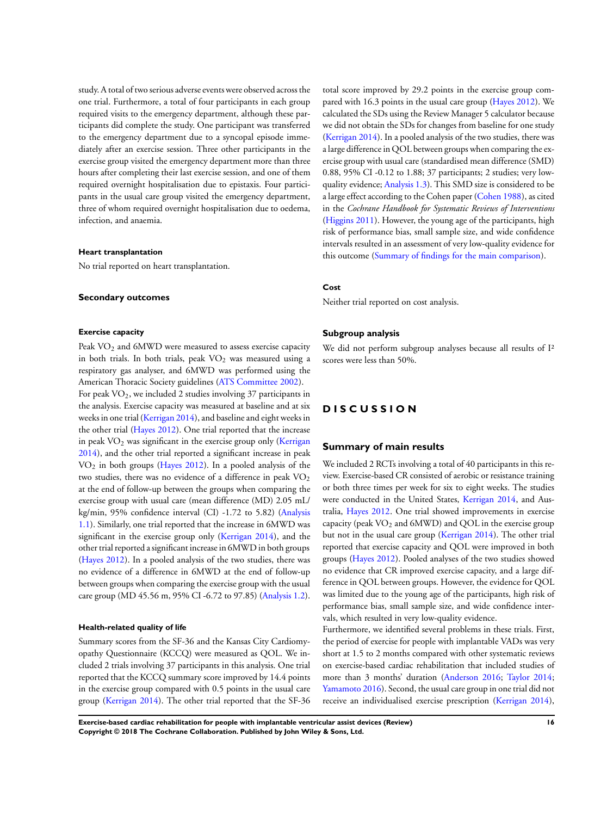study. A total of two serious adverse events were observed across the one trial. Furthermore, a total of four participants in each group required visits to the emergency department, although these participants did complete the study. One participant was transferred to the emergency department due to a syncopal episode immediately after an exercise session. Three other participants in the exercise group visited the emergency department more than three hours after completing their last exercise session, and one of them required overnight hospitalisation due to epistaxis. Four participants in the usual care group visited the emergency department, three of whom required overnight hospitalisation due to oedema, infection, and anaemia.

#### **Heart transplantation**

No trial reported on heart transplantation.

#### **Secondary outcomes**

### **Exercise capacity**

Peak  $VO<sub>2</sub>$  and 6MWD were measured to assess exercise capacity in both trials. In both trials, peak  $VO<sub>2</sub>$  was measured using a respiratory gas analyser, and 6MWD was performed using the American Thoracic Society guidelines [\(ATS Committee 2002\)](#page-19-0). For peak VO<sub>2</sub>, we included 2 studies involving 37 participants in the analysis. Exercise capacity was measured at baseline and at six weeks in one trial [\(Kerrigan 2014\)](#page-19-0), and baseline and eight weeks in the other trial [\(Hayes 2012](#page-19-0)). One trial reported that the increase in peak VO<sub>2</sub> was significant in the exercise group only ([Kerrigan](#page-19-0) [2014](#page-19-0)), and the other trial reported a significant increase in peak VO<sup>2</sup> in both groups [\(Hayes 2012\)](#page-19-0). In a pooled analysis of the two studies, there was no evidence of a difference in peak  $VO<sub>2</sub>$ at the end of follow-up between the groups when comparing the exercise group with usual care (mean difference (MD) 2.05 mL/ kg/min, 95% confidence interval (CI) -1.72 to 5.82) ([Analysis](#page-29-0) [1.1](#page-29-0)). Similarly, one trial reported that the increase in 6MWD was significant in the exercise group only [\(Kerrigan 2014\)](#page-19-0), and the other trial reported a significant increase in 6MWD in both groups [\(Hayes 2012\)](#page-19-0). In a pooled analysis of the two studies, there was no evidence of a difference in 6MWD at the end of follow-up between groups when comparing the exercise group with the usual care group (MD 45.56 m, 95% CI -6.72 to 97.85) ([Analysis 1.2](#page-30-0)).

### **Health-related quality of life**

Summary scores from the SF-36 and the Kansas City Cardiomyopathy Questionnaire (KCCQ) were measured as QOL. We included 2 trials involving 37 participants in this analysis. One trial reported that the KCCQ summary score improved by 14.4 points in the exercise group compared with 0.5 points in the usual care group [\(Kerrigan 2014\)](#page-19-0). The other trial reported that the SF-36 total score improved by 29.2 points in the exercise group compared with 16.3 points in the usual care group [\(Hayes 2012](#page-19-0)). We calculated the SDs using the Review Manager 5 calculator because we did not obtain the SDs for changes from baseline for one study [\(Kerrigan 2014](#page-19-0)). In a pooled analysis of the two studies, there was a large difference in QOL between groups when comparing the exercise group with usual care (standardised mean difference (SMD) 0.88, 95% CI -0.12 to 1.88; 37 participants; 2 studies; very lowquality evidence; [Analysis 1.3](#page-30-0)). This SMD size is considered to be a large effect according to the Cohen paper [\(Cohen 1988](#page-19-0)), as cited in the *Cochrane Handbook for Systematic Reviews of Interventions* [\(Higgins 2011](#page-19-0)). However, the young age of the participants, high risk of performance bias, small sample size, and wide confidence intervals resulted in an assessment of very low-quality evidence for this outcome ([Summary of findings for the main comparison](#page-5-0)).

### **Cost**

Neither trial reported on cost analysis.

### **Subgroup analysis**

We did not perform subgroup analyses because all results of I<sup>2</sup> scores were less than 50%.

# **D I S C U S S I O N**

### **Summary of main results**

We included 2 RCTs involving a total of 40 participants in this review. Exercise-based CR consisted of aerobic or resistance training or both three times per week for six to eight weeks. The studies were conducted in the United States, [Kerrigan 2014,](#page-19-0) and Australia, [Hayes 2012.](#page-19-0) One trial showed improvements in exercise capacity (peak  $VO<sub>2</sub>$  and  $6MWD$ ) and  $QOL$  in the exercise group but not in the usual care group [\(Kerrigan 2014\)](#page-19-0). The other trial reported that exercise capacity and QOL were improved in both groups ([Hayes 2012\)](#page-19-0). Pooled analyses of the two studies showed no evidence that CR improved exercise capacity, and a large difference in QOL between groups. However, the evidence for QOL was limited due to the young age of the participants, high risk of performance bias, small sample size, and wide confidence intervals, which resulted in very low-quality evidence.

Furthermore, we identified several problems in these trials. First, the period of exercise for people with implantable VADs was very short at 1.5 to 2 months compared with other systematic reviews on exercise-based cardiac rehabilitation that included studies of more than 3 months' duration [\(Anderson 2016](#page-19-0); [Taylor 2014;](#page-19-0) [Yamamoto 2016](#page-19-0)). Second, the usual care group in one trial did not receive an individualised exercise prescription [\(Kerrigan 2014](#page-19-0)),

**Exercise-based cardiac rehabilitation for people with implantable ventricular assist devices (Review) 16 Copyright © 2018 The Cochrane Collaboration. Published by John Wiley & Sons, Ltd.**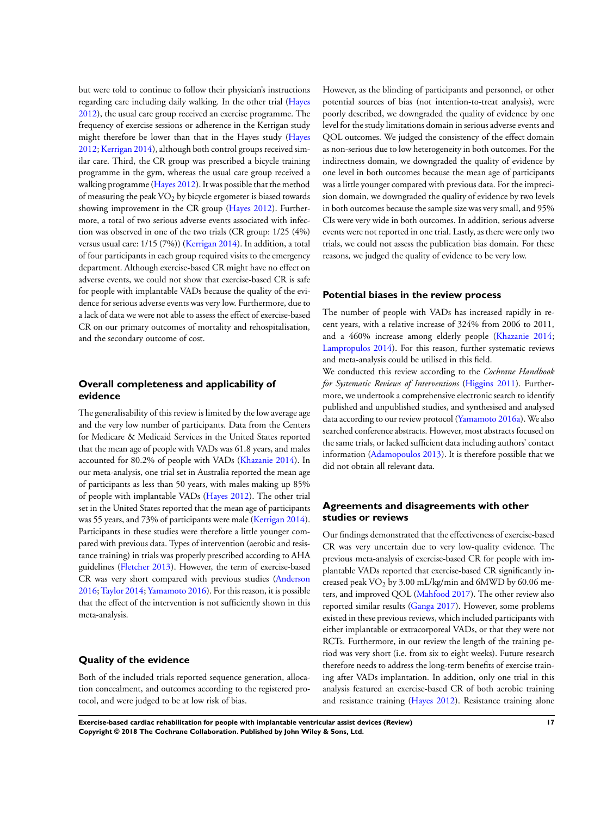but were told to continue to follow their physician's instructions regarding care including daily walking. In the other trial ([Hayes](#page-19-0) [2012](#page-19-0)), the usual care group received an exercise programme. The frequency of exercise sessions or adherence in the Kerrigan study might therefore be lower than that in the Hayes study ([Hayes](#page-19-0) [2012](#page-19-0); [Kerrigan 2014\)](#page-19-0), although both control groups received similar care. Third, the CR group was prescribed a bicycle training programme in the gym, whereas the usual care group received a walking programme [\(Hayes 2012](#page-19-0)). It was possible that the method of measuring the peak  $VO<sub>2</sub>$  by bicycle ergometer is biased towards showing improvement in the CR group [\(Hayes 2012](#page-19-0)). Furthermore, a total of two serious adverse events associated with infection was observed in one of the two trials (CR group: 1/25 (4%) versus usual care: 1/15 (7%)) [\(Kerrigan 2014](#page-19-0)). In addition, a total of four participants in each group required visits to the emergency department. Although exercise-based CR might have no effect on adverse events, we could not show that exercise-based CR is safe for people with implantable VADs because the quality of the evidence for serious adverse events was very low. Furthermore, due to a lack of data we were not able to assess the effect of exercise-based CR on our primary outcomes of mortality and rehospitalisation, and the secondary outcome of cost.

### **Overall completeness and applicability of evidence**

The generalisability of this review is limited by the low average age and the very low number of participants. Data from the Centers for Medicare & Medicaid Services in the United States reported that the mean age of people with VADs was 61.8 years, and males accounted for 80.2% of people with VADs [\(Khazanie 2014\)](#page-19-0). In our meta-analysis, one trial set in Australia reported the mean age of participants as less than 50 years, with males making up 85% of people with implantable VADs ([Hayes 2012\)](#page-19-0). The other trial set in the United States reported that the mean age of participants was 55 years, and 73% of participants were male [\(Kerrigan 2014](#page-19-0)). Participants in these studies were therefore a little younger compared with previous data. Types of intervention (aerobic and resistance training) in trials was properly prescribed according to AHA guidelines ([Fletcher 2013\)](#page-19-0). However, the term of exercise-based CR was very short compared with previous studies ([Anderson](#page-19-0) [2016](#page-19-0);[Taylor 2014;](#page-19-0) [Yamamoto 2016](#page-19-0)). For this reason, it is possible that the effect of the intervention is not sufficiently shown in this meta-analysis.

### **Quality of the evidence**

Both of the included trials reported sequence generation, allocation concealment, and outcomes according to the registered protocol, and were judged to be at low risk of bias.

However, as the blinding of participants and personnel, or other potential sources of bias (not intention-to-treat analysis), were poorly described, we downgraded the quality of evidence by one level for the study limitations domain in serious adverse events and QOL outcomes. We judged the consistency of the effect domain as non-serious due to low heterogeneity in both outcomes. For the indirectness domain, we downgraded the quality of evidence by one level in both outcomes because the mean age of participants was a little younger compared with previous data. For the imprecision domain, we downgraded the quality of evidence by two levels in both outcomes because the sample size was very small, and 95% CIs were very wide in both outcomes. In addition, serious adverse events were not reported in one trial. Lastly, as there were only two trials, we could not assess the publication bias domain. For these reasons, we judged the quality of evidence to be very low.

#### **Potential biases in the review process**

The number of people with VADs has increased rapidly in recent years, with a relative increase of 324% from 2006 to 2011, and a 460% increase among elderly people ([Khazanie 2014;](#page-19-0) [Lampropulos 2014\)](#page-19-0). For this reason, further systematic reviews and meta-analysis could be utilised in this field.

We conducted this review according to the *Cochrane Handbook for Systematic Reviews of Interventions* ([Higgins 2011\)](#page-19-0). Furthermore, we undertook a comprehensive electronic search to identify published and unpublished studies, and synthesised and analysed data according to our review protocol [\(Yamamoto 2016a](#page-19-0)). We also searched conference abstracts. However, most abstracts focused on the same trials, or lacked sufficient data including authors' contact information ([Adamopoulos 2013](#page-19-0)). It is therefore possible that we did not obtain all relevant data.

## **Agreements and disagreements with other studies or reviews**

Our findings demonstrated that the effectiveness of exercise-based CR was very uncertain due to very low-quality evidence. The previous meta-analysis of exercise-based CR for people with implantable VADs reported that exercise-based CR significantly increased peak  $VO<sub>2</sub>$  by 3.00 mL/kg/min and 6MWD by 60.06 meters, and improved QOL [\(Mahfood 2017\)](#page-19-0). The other review also reported similar results ([Ganga 2017](#page-19-0)). However, some problems existed in these previous reviews, which included participants with either implantable or extracorporeal VADs, or that they were not RCTs. Furthermore, in our review the length of the training period was very short (i.e. from six to eight weeks). Future research therefore needs to address the long-term benefits of exercise training after VADs implantation. In addition, only one trial in this analysis featured an exercise-based CR of both aerobic training and resistance training [\(Hayes 2012\)](#page-19-0). Resistance training alone

**Exercise-based cardiac rehabilitation for people with implantable ventricular assist devices (Review) 17 Copyright © 2018 The Cochrane Collaboration. Published by John Wiley & Sons, Ltd.**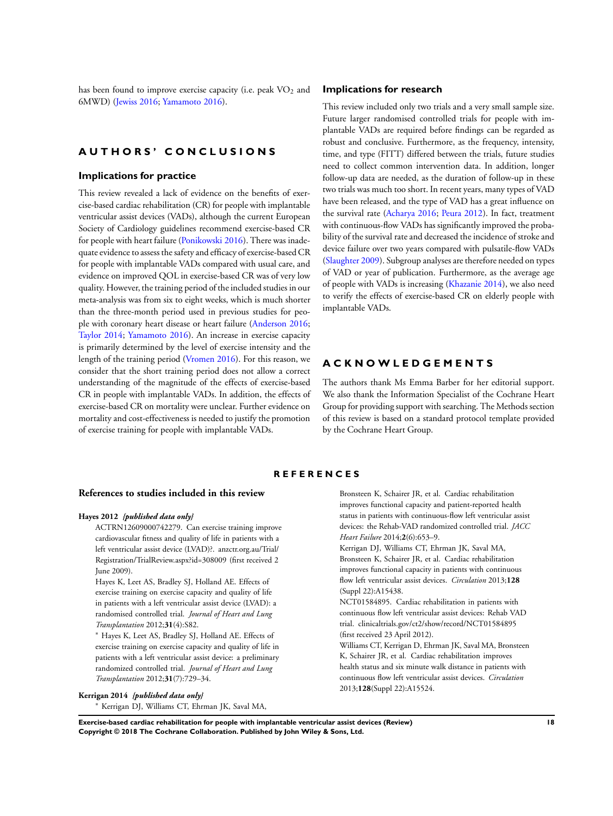<span id="page-19-0"></span>has been found to improve exercise capacity (i.e. peak  $VO<sub>2</sub>$  and 6MWD) (Jewiss 2016; Yamamoto 2016).

# **A U T H O R S ' C O N C L U S I O N S**

### **Implications for practice**

This review revealed a lack of evidence on the benefits of exercise-based cardiac rehabilitation (CR) for people with implantable ventricular assist devices (VADs), although the current European Society of Cardiology guidelines recommend exercise-based CR for people with heart failure (Ponikowski 2016). There was inadequate evidence to assess the safety and efficacy of exercise-basedCR for people with implantable VADs compared with usual care, and evidence on improved QOL in exercise-based CR was of very low quality. However, the training period of the included studies in our meta-analysis was from six to eight weeks, which is much shorter than the three-month period used in previous studies for people with coronary heart disease or heart failure (Anderson 2016; Taylor 2014; Yamamoto 2016). An increase in exercise capacity is primarily determined by the level of exercise intensity and the length of the training period (Vromen 2016). For this reason, we consider that the short training period does not allow a correct understanding of the magnitude of the effects of exercise-based CR in people with implantable VADs. In addition, the effects of exercise-based CR on mortality were unclear. Further evidence on mortality and cost-effectiveness is needed to justify the promotion of exercise training for people with implantable VADs.

### **Implications for research**

This review included only two trials and a very small sample size. Future larger randomised controlled trials for people with implantable VADs are required before findings can be regarded as robust and conclusive. Furthermore, as the frequency, intensity, time, and type (FITT) differed between the trials, future studies need to collect common intervention data. In addition, longer follow-up data are needed, as the duration of follow-up in these two trials was much too short. In recent years, many types of VAD have been released, and the type of VAD has a great influence on the survival rate (Acharya 2016; Peura 2012). In fact, treatment with continuous-flow VADs has significantly improved the probability of the survival rate and decreased the incidence of stroke and device failure over two years compared with pulsatile-flow VADs (Slaughter 2009). Subgroup analyses are therefore needed on types of VAD or year of publication. Furthermore, as the average age of people with VADs is increasing (Khazanie 2014), we also need to verify the effects of exercise-based CR on elderly people with implantable VADs.

# **A C K N O W L E D G E M E N T S**

The authors thank Ms Emma Barber for her editorial support. We also thank the Information Specialist of the Cochrane Heart Group for providing support with searching. The Methods section of this review is based on a standard protocol template provided by the Cochrane Heart Group.

### **R E F E R E N C E S**

### **References to studies included in this review**

### **Hayes 2012** *{published data only}*

ACTRN12609000742279. Can exercise training improve cardiovascular fitness and quality of life in patients with a left ventricular assist device (LVAD)?. anzctr.org.au/Trial/ Registration/TrialReview.aspx?id=308009 (first received 2 June 2009).

Hayes K, Leet AS, Bradley SJ, Holland AE. Effects of exercise training on exercise capacity and quality of life in patients with a left ventricular assist device (LVAD): a randomised controlled trial. *Journal of Heart and Lung Transplantation* 2012;**31**(4):S82.

<sup>∗</sup> Hayes K, Leet AS, Bradley SJ, Holland AE. Effects of exercise training on exercise capacity and quality of life in patients with a left ventricular assist device: a preliminary randomized controlled trial. *Journal of Heart and Lung Transplantation* 2012;**31**(7):729–34.

**Kerrigan 2014** *{published data only}*

<sup>∗</sup> Kerrigan DJ, Williams CT, Ehrman JK, Saval MA,

Bronsteen K, Schairer JR, et al. Cardiac rehabilitation improves functional capacity and patient-reported health status in patients with continuous-flow left ventricular assist devices: the Rehab-VAD randomized controlled trial. *JACC Heart Failure* 2014;**2**(6):653–9.

Kerrigan DJ, Williams CT, Ehrman JK, Saval MA, Bronsteen K, Schairer JR, et al. Cardiac rehabilitation improves functional capacity in patients with continuous flow left ventricular assist devices. *Circulation* 2013;**128** (Suppl 22):A15438.

NCT01584895. Cardiac rehabilitation in patients with continuous flow left ventricular assist devices: Rehab VAD trial. clinicaltrials.gov/ct2/show/record/NCT01584895 (first received 23 April 2012).

Williams CT, Kerrigan D, Ehrman JK, Saval MA, Bronsteen K, Schairer JR, et al. Cardiac rehabilitation improves health status and six minute walk distance in patients with continuous flow left ventricular assist devices. *Circulation* 2013;**128**(Suppl 22):A15524.

**Exercise-based cardiac rehabilitation for people with implantable ventricular assist devices (Review) 18 Copyright © 2018 The Cochrane Collaboration. Published by John Wiley & Sons, Ltd.**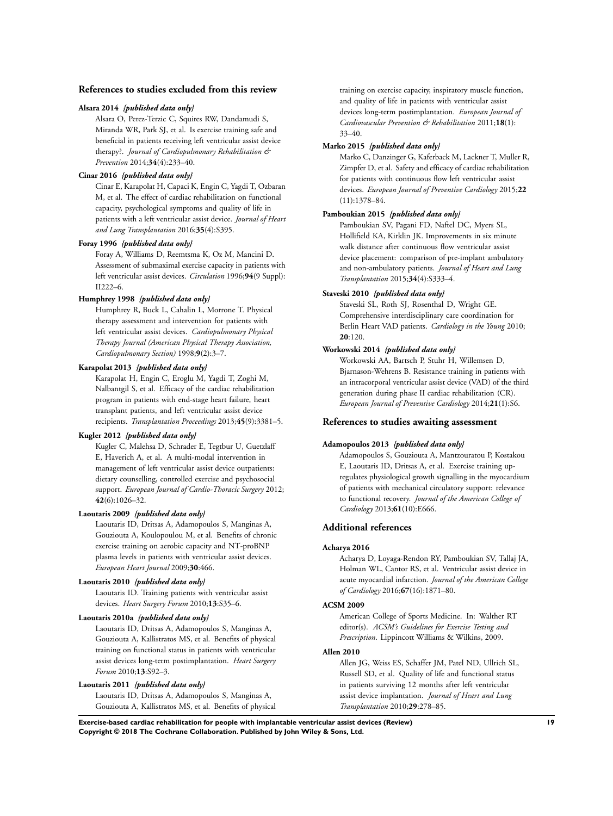### **References to studies excluded from this review**

#### **Alsara 2014** *{published data only}*

Alsara O, Perez-Terzic C, Squires RW, Dandamudi S, Miranda WR, Park SJ, et al. Is exercise training safe and beneficial in patients receiving left ventricular assist device therapy?. *Journal of Cardiopulmonary Rehabilitation & Prevention* 2014;**34**(4):233–40.

### **Cinar 2016** *{published data only}*

Cinar E, Karapolat H, Capaci K, Engin C, Yagdi T, Ozbaran M, et al. The effect of cardiac rehabilitation on functional capacity, psychological symptoms and quality of life in patients with a left ventricular assist device. *Journal of Heart and Lung Transplantation* 2016;**35**(4):S395.

### **Foray 1996** *{published data only}*

Foray A, Williams D, Reemtsma K, Oz M, Mancini D. Assessment of submaximal exercise capacity in patients with left ventricular assist devices. *Circulation* 1996;**94**(9 Suppl): II222–6.

### **Humphrey 1998** *{published data only}*

Humphrey R, Buck L, Cahalin L, Morrone T. Physical therapy assessment and intervention for patients with left ventricular assist devices. *Cardiopulmonary Physical Therapy Journal (American Physical Therapy Association, Cardiopulmonary Section)* 1998;**9**(2):3–7.

### **Karapolat 2013** *{published data only}*

Karapolat H, Engin C, Eroglu M, Yagdi T, Zoghi M, Nalbantgil S, et al. Efficacy of the cardiac rehabilitation program in patients with end-stage heart failure, heart transplant patients, and left ventricular assist device recipients. *Transplantation Proceedings* 2013;**45**(9):3381–5.

### **Kugler 2012** *{published data only}*

Kugler C, Malehsa D, Schrader E, Tegtbur U, Guetzlaff E, Haverich A, et al. A multi-modal intervention in management of left ventricular assist device outpatients: dietary counselling, controlled exercise and psychosocial support. *European Journal of Cardio-Thoracic Surgery* 2012; **42**(6):1026–32.

### **Laoutaris 2009** *{published data only}*

Laoutaris ID, Dritsas A, Adamopoulos S, Manginas A, Gouziouta A, Koulopoulou M, et al. Benefits of chronic exercise training on aerobic capacity and NT-proBNP plasma levels in patients with ventricular assist devices. *European Heart Journal* 2009;**30**:466.

### **Laoutaris 2010** *{published data only}*

Laoutaris ID. Training patients with ventricular assist devices. *Heart Surgery Forum* 2010;**13**:S35–6.

### **Laoutaris 2010a** *{published data only}*

Laoutaris ID, Dritsas A, Adamopoulos S, Manginas A, Gouziouta A, Kallistratos MS, et al. Benefits of physical training on functional status in patients with ventricular assist devices long-term postimplantation. *Heart Surgery Forum* 2010;**13**:S92–3.

#### **Laoutaris 2011** *{published data only}*

Laoutaris ID, Dritsas A, Adamopoulos S, Manginas A, Gouziouta A, Kallistratos MS, et al. Benefits of physical training on exercise capacity, inspiratory muscle function, and quality of life in patients with ventricular assist devices long-term postimplantation. *European Journal of Cardiovascular Prevention & Rehabilitation* 2011;**18**(1): 33–40.

#### **Marko 2015** *{published data only}*

Marko C, Danzinger G, Kaferback M, Lackner T, Muller R, Zimpfer D, et al. Safety and efficacy of cardiac rehabilitation for patients with continuous flow left ventricular assist devices. *European Journal of Preventive Cardiology* 2015;**22** (11):1378–84.

### **Pamboukian 2015** *{published data only}*

Pamboukian SV, Pagani FD, Naftel DC, Myers SL, Hollifield KA, Kirklin JK. Improvements in six minute walk distance after continuous flow ventricular assist device placement: comparison of pre-implant ambulatory and non-ambulatory patients. *Journal of Heart and Lung Transplantation* 2015;**34**(4):S333–4.

### **Staveski 2010** *{published data only}*

Staveski SL, Roth SJ, Rosenthal D, Wright GE. Comprehensive interdisciplinary care coordination for Berlin Heart VAD patients. *Cardiology in the Young* 2010; **20**:120.

### **Workowski 2014** *{published data only}*

Workowski AA, Bartsch P, Stuhr H, Willemsen D, Bjarnason-Wehrens B. Resistance training in patients with an intracorporal ventricular assist device (VAD) of the third generation during phase II cardiac rehabilitation (CR). *European Journal of Preventive Cardiology* 2014;**21**(1):S6.

### **References to studies awaiting assessment**

### **Adamopoulos 2013** *{published data only}*

Adamopoulos S, Gouziouta A, Mantzouratou P, Kostakou E, Laoutaris ID, Dritsas A, et al. Exercise training upregulates physiological growth signalling in the myocardium of patients with mechanical circulatory support: relevance to functional recovery. *Journal of the American College of Cardiology* 2013;**61**(10):E666.

### **Additional references**

### **Acharya 2016**

Acharya D, Loyaga-Rendon RY, Pamboukian SV, Tallaj JA, Holman WL, Cantor RS, et al. Ventricular assist device in acute myocardial infarction. *Journal of the American College of Cardiology* 2016;**67**(16):1871–80.

#### **ACSM 2009**

American College of Sports Medicine. In: Walther RT editor(s). *ACSM's Guidelines for Exercise Testing and Prescription*. Lippincott Williams & Wilkins, 2009.

### **Allen 2010**

Allen JG, Weiss ES, Schaffer JM, Patel ND, Ullrich SL, Russell SD, et al. Quality of life and functional status in patients surviving 12 months after left ventricular assist device implantation. *Journal of Heart and Lung Transplantation* 2010;**29**:278–85.

**Exercise-based cardiac rehabilitation for people with implantable ventricular assist devices (Review) 19 Copyright © 2018 The Cochrane Collaboration. Published by John Wiley & Sons, Ltd.**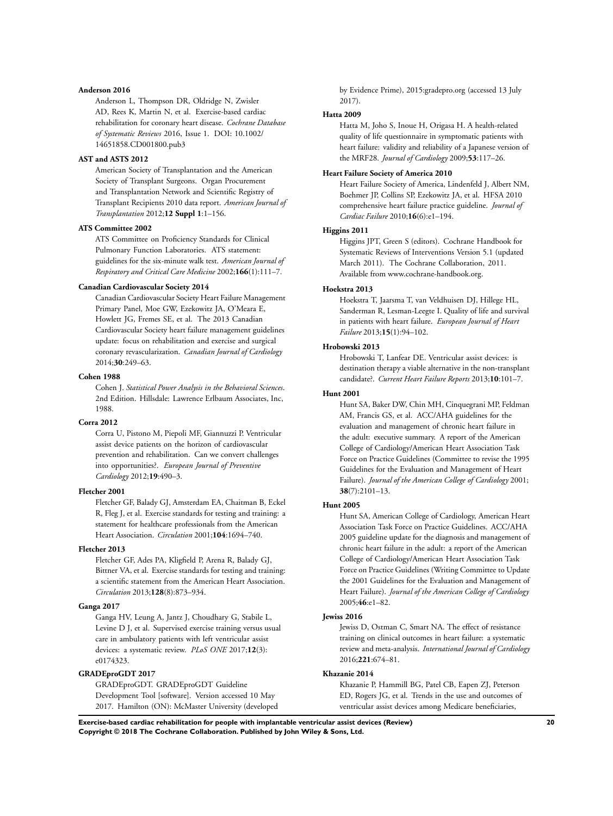### **Anderson 2016**

Anderson L, Thompson DR, Oldridge N, Zwisler AD, Rees K, Martin N, et al. Exercise-based cardiac rehabilitation for coronary heart disease. *Cochrane Database of Systematic Reviews* 2016, Issue 1. DOI: 10.1002/ 14651858.CD001800.pub3

### **AST and ASTS 2012**

American Society of Transplantation and the American Society of Transplant Surgeons. Organ Procurement and Transplantation Network and Scientific Registry of Transplant Recipients 2010 data report. *American Journal of Transplantation* 2012;**12 Suppl 1**:1–156.

### **ATS Committee 2002**

ATS Committee on Proficiency Standards for Clinical Pulmonary Function Laboratories. ATS statement: guidelines for the six-minute walk test. *American Journal of Respiratory and Critical Care Medicine* 2002;**166**(1):111–7.

### **Canadian Cardiovascular Society 2014**

Canadian Cardiovascular Society Heart Failure Management Primary Panel, Moe GW, Ezekowitz JA, O'Meara E, Howlett JG, Fremes SE, et al. The 2013 Canadian Cardiovascular Society heart failure management guidelines update: focus on rehabilitation and exercise and surgical coronary revascularization. *Canadian Journal of Cardiology* 2014;**30**:249–63.

#### **Cohen 1988**

Cohen J. *Statistical Power Analysis in the Behavioral Sciences*. 2nd Edition. Hillsdale: Lawrence Erlbaum Associates, Inc, 1988.

#### **Corra 2012**

Corra U, Pistono M, Piepoli MF, Giannuzzi P. Ventricular assist device patients on the horizon of cardiovascular prevention and rehabilitation. Can we convert challenges into opportunities?. *European Journal of Preventive Cardiology* 2012;**19**:490–3.

#### **Fletcher 2001**

Fletcher GF, Balady GJ, Amsterdam EA, Chaitman B, Eckel R, Fleg J, et al. Exercise standards for testing and training: a statement for healthcare professionals from the American Heart Association. *Circulation* 2001;**104**:1694–740.

#### **Fletcher 2013**

Fletcher GF, Ades PA, Kligfield P, Arena R, Balady GJ, Bittner VA, et al. Exercise standards for testing and training: a scientific statement from the American Heart Association. *Circulation* 2013;**128**(8):873–934.

### **Ganga 2017**

Ganga HV, Leung A, Jantz J, Choudhary G, Stabile L, Levine D J, et al. Supervised exercise training versus usual care in ambulatory patients with left ventricular assist devices: a systematic review. *PLoS ONE* 2017;**12**(3): e0174323.

### **GRADEproGDT 2017**

GRADEproGDT. GRADEproGDT Guideline Development Tool [software]. Version accessed 10 May 2017. Hamilton (ON): McMaster University (developed by Evidence Prime), 2015:gradepro.org (accessed 13 July 2017).

### **Hatta 2009**

Hatta M, Joho S, Inoue H, Origasa H. A health-related quality of life questionnaire in symptomatic patients with heart failure: validity and reliability of a Japanese version of the MRF28. *Journal of Cardiology* 2009;**53**:117–26.

#### **Heart Failure Society of America 2010**

Heart Failure Society of America, Lindenfeld J, Albert NM, Boehmer JP, Collins SP, Ezekowitz JA, et al. HFSA 2010 comprehensive heart failure practice guideline. *Journal of Cardiac Failure* 2010;**16**(6):e1–194.

### **Higgins 2011**

Higgins JPT, Green S (editors). Cochrane Handbook for Systematic Reviews of Interventions Version 5.1 (updated March 2011). The Cochrane Collaboration, 2011. Available from www.cochrane-handbook.org.

### **Hoekstra 2013**

Hoekstra T, Jaarsma T, van Veldhuisen DJ, Hillege HL, Sanderman R, Lesman-Leegte I. Quality of life and survival in patients with heart failure. *European Journal of Heart Failure* 2013;**15**(1):94–102.

### **Hrobowski 2013**

Hrobowski T, Lanfear DE. Ventricular assist devices: is destination therapy a viable alternative in the non-transplant candidate?. *Current Heart Failure Reports* 2013;**10**:101–7.

#### **Hunt 2001**

Hunt SA, Baker DW, Chin MH, Cinquegrani MP, Feldman AM, Francis GS, et al. ACC/AHA guidelines for the evaluation and management of chronic heart failure in the adult: executive summary. A report of the American College of Cardiology/American Heart Association Task Force on Practice Guidelines (Committee to revise the 1995 Guidelines for the Evaluation and Management of Heart Failure). *Journal of the American College of Cardiology* 2001; **38**(7):2101–13.

### **Hunt 2005**

Hunt SA, American College of Cardiology, American Heart Association Task Force on Practice Guidelines. ACC/AHA 2005 guideline update for the diagnosis and management of chronic heart failure in the adult: a report of the American College of Cardiology/American Heart Association Task Force on Practice Guidelines (Writing Committee to Update the 2001 Guidelines for the Evaluation and Management of Heart Failure). *Journal of the American College of Cardiology* 2005;**46**:e1–82.

#### **Jewiss 2016**

Jewiss D, Ostman C, Smart NA. The effect of resistance training on clinical outcomes in heart failure: a systematic review and meta-analysis. *International Journal of Cardiology* 2016;**221**:674–81.

### **Khazanie 2014**

Khazanie P, Hammill BG, Patel CB, Eapen ZJ, Peterson ED, Rogers JG, et al. Trends in the use and outcomes of ventricular assist devices among Medicare beneficiaries,

**Exercise-based cardiac rehabilitation for people with implantable ventricular assist devices (Review) 20 Copyright © 2018 The Cochrane Collaboration. Published by John Wiley & Sons, Ltd.**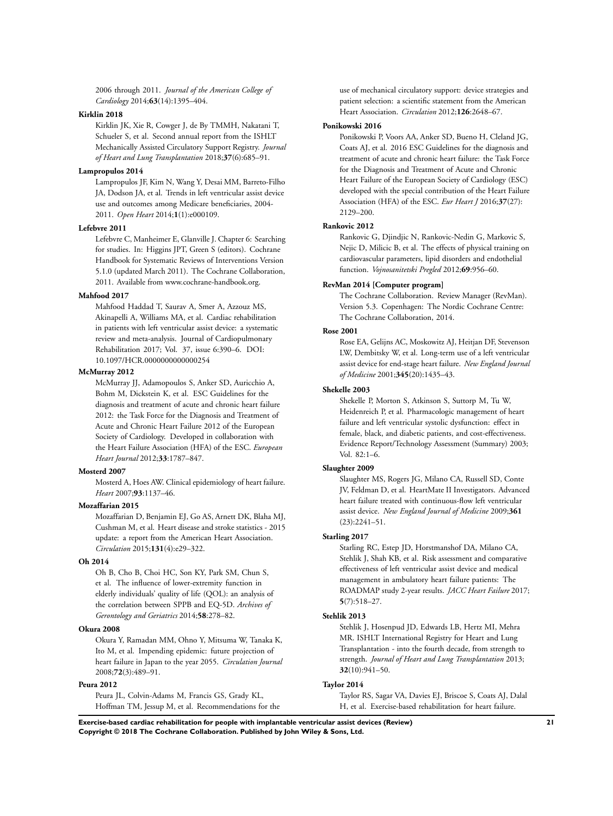2006 through 2011. *Journal of the American College of Cardiology* 2014;**63**(14):1395–404.

#### **Kirklin 2018**

Kirklin JK, Xie R, Cowger J, de By TMMH, Nakatani T, Schueler S, et al. Second annual report from the ISHLT Mechanically Assisted Circulatory Support Registry. *Journal of Heart and Lung Transplantation* 2018;**37**(6):685–91.

### **Lampropulos 2014**

Lampropulos JF, Kim N, Wang Y, Desai MM, Barreto-Filho JA, Dodson JA, et al. Trends in left ventricular assist device use and outcomes among Medicare beneficiaries, 2004- 2011. *Open Heart* 2014;**1**(1):e000109.

#### **Lefebvre 2011**

Lefebvre C, Manheimer E, Glanville J. Chapter 6: Searching for studies. In: Higgins JPT, Green S (editors). Cochrane Handbook for Systematic Reviews of Interventions Version 5.1.0 (updated March 2011). The Cochrane Collaboration, 2011. Available from www.cochrane-handbook.org.

### **Mahfood 2017**

Mahfood Haddad T, Saurav A, Smer A, Azzouz MS, Akinapelli A, Williams MA, et al. Cardiac rehabilitation in patients with left ventricular assist device: a systematic review and meta-analysis. Journal of Cardiopulmonary Rehabilitation 2017; Vol. 37, issue 6:390–6. DOI: 10.1097/HCR.0000000000000254

### **McMurray 2012**

McMurray JJ, Adamopoulos S, Anker SD, Auricchio A, Bohm M, Dickstein K, et al. ESC Guidelines for the diagnosis and treatment of acute and chronic heart failure 2012: the Task Force for the Diagnosis and Treatment of Acute and Chronic Heart Failure 2012 of the European Society of Cardiology. Developed in collaboration with the Heart Failure Association (HFA) of the ESC. *European Heart Journal* 2012;**33**:1787–847.

### **Mosterd 2007**

Mosterd A, Hoes AW. Clinical epidemiology of heart failure. *Heart* 2007;**93**:1137–46.

### **Mozaffarian 2015**

Mozaffarian D, Benjamin EJ, Go AS, Arnett DK, Blaha MJ, Cushman M, et al. Heart disease and stroke statistics - 2015 update: a report from the American Heart Association. *Circulation* 2015;**131**(4):e29–322.

### **Oh 2014**

Oh B, Cho B, Choi HC, Son KY, Park SM, Chun S, et al. The influence of lower-extremity function in elderly individuals' quality of life (QOL): an analysis of the correlation between SPPB and EQ-5D. *Archives of Gerontology and Geriatrics* 2014;**58**:278–82.

### **Okura 2008**

Okura Y, Ramadan MM, Ohno Y, Mitsuma W, Tanaka K, Ito M, et al. Impending epidemic: future projection of heart failure in Japan to the year 2055. *Circulation Journal* 2008;**72**(3):489–91.

### **Peura 2012**

Peura JL, Colvin-Adams M, Francis GS, Grady KL, Hoffman TM, Jessup M, et al. Recommendations for the use of mechanical circulatory support: device strategies and patient selection: a scientific statement from the American Heart Association. *Circulation* 2012;**126**:2648–67.

#### **Ponikowski 2016**

Ponikowski P, Voors AA, Anker SD, Bueno H, Cleland JG, Coats AJ, et al. 2016 ESC Guidelines for the diagnosis and treatment of acute and chronic heart failure: the Task Force for the Diagnosis and Treatment of Acute and Chronic Heart Failure of the European Society of Cardiology (ESC) developed with the special contribution of the Heart Failure Association (HFA) of the ESC. *Eur Heart J* 2016;**37**(27): 2129–200.

### **Rankovic 2012**

Rankovic G, Djindjic N, Rankovic-Nedin G, Markovic S, Nejic D, Milicic B, et al. The effects of physical training on cardiovascular parameters, lipid disorders and endothelial function. *Vojnosanitetski Pregled* 2012;**69**:956–60.

### **RevMan 2014 [Computer program]**

The Cochrane Collaboration. Review Manager (RevMan). Version 5.3. Copenhagen: The Nordic Cochrane Centre: The Cochrane Collaboration, 2014.

### **Rose 2001**

Rose EA, Gelijns AC, Moskowitz AJ, Heitjan DF, Stevenson LW, Dembitsky W, et al. Long-term use of a left ventricular assist device for end-stage heart failure. *New England Journal of Medicine* 2001;**345**(20):1435–43.

#### **Shekelle 2003**

Shekelle P, Morton S, Atkinson S, Suttorp M, Tu W, Heidenreich P, et al. Pharmacologic management of heart failure and left ventricular systolic dysfunction: effect in female, black, and diabetic patients, and cost-effectiveness. Evidence Report/Technology Assessment (Summary) 2003; Vol. 82:1–6.

#### **Slaughter 2009**

Slaughter MS, Rogers JG, Milano CA, Russell SD, Conte JV, Feldman D, et al. HeartMate II Investigators. Advanced heart failure treated with continuous-flow left ventricular assist device. *New England Journal of Medicine* 2009;**361** (23):2241–51.

### **Starling 2017**

Starling RC, Estep JD, Horstmanshof DA, Milano CA, Stehlik J, Shah KB, et al. Risk assessment and comparative effectiveness of left ventricular assist device and medical management in ambulatory heart failure patients: The ROADMAP study 2-year results. *JACC Heart Failure* 2017; **5**(7):518–27.

#### **Stehlik 2013**

Stehlik J, Hosenpud JD, Edwards LB, Hertz MI, Mehra MR. ISHLT International Registry for Heart and Lung Transplantation - into the fourth decade, from strength to strength. *Journal of Heart and Lung Transplantation* 2013; **32**(10):941–50.

### **Taylor 2014**

Taylor RS, Sagar VA, Davies EJ, Briscoe S, Coats AJ, Dalal H, et al. Exercise-based rehabilitation for heart failure.

**Exercise-based cardiac rehabilitation for people with implantable ventricular assist devices (Review) 21 Copyright © 2018 The Cochrane Collaboration. Published by John Wiley & Sons, Ltd.**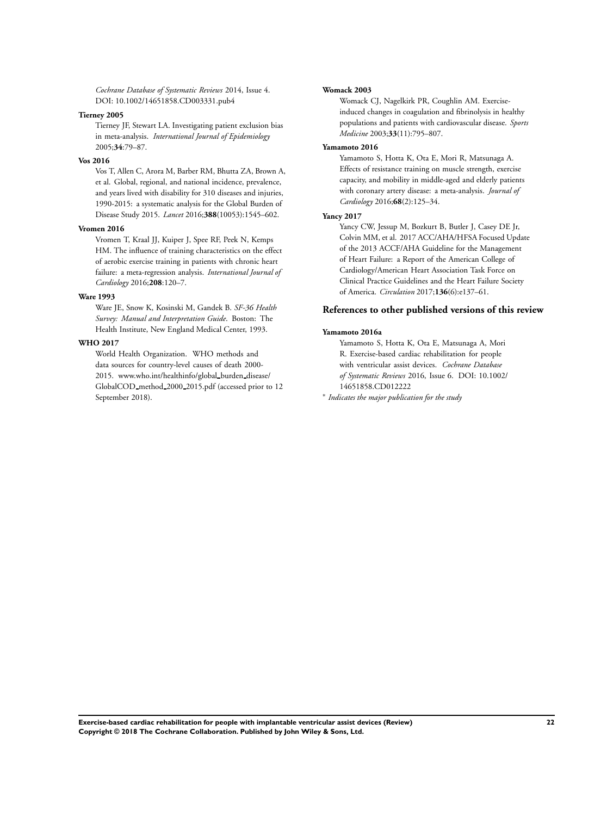*Cochrane Database of Systematic Reviews* 2014, Issue 4. DOI: 10.1002/14651858.CD003331.pub4

#### **Tierney 2005**

Tierney JF, Stewart LA. Investigating patient exclusion bias in meta-analysis. *International Journal of Epidemiology* 2005;**34**:79–87.

### **Vos 2016**

Vos T, Allen C, Arora M, Barber RM, Bhutta ZA, Brown A, et al. Global, regional, and national incidence, prevalence, and years lived with disability for 310 diseases and injuries, 1990-2015: a systematic analysis for the Global Burden of Disease Study 2015. *Lancet* 2016;**388**(10053):1545–602.

#### **Vromen 2016**

Vromen T, Kraal JJ, Kuiper J, Spee RF, Peek N, Kemps HM. The influence of training characteristics on the effect of aerobic exercise training in patients with chronic heart failure: a meta-regression analysis. *International Journal of Cardiology* 2016;**208**:120–7.

### **Ware 1993**

Ware JE, Snow K, Kosinski M, Gandek B. *SF-36 Health Survey: Manual and Interpretation Guide*. Boston: The Health Institute, New England Medical Center, 1993.

#### **WHO 2017**

World Health Organization. WHO methods and data sources for country-level causes of death 2000- 2015. www.who.int/healthinfo/global burden disease/ GlobalCOD method 2000 2015.pdf (accessed prior to 12 September 2018).

#### **Womack 2003**

Womack CJ, Nagelkirk PR, Coughlin AM. Exerciseinduced changes in coagulation and fibrinolysis in healthy populations and patients with cardiovascular disease. *Sports Medicine* 2003;**33**(11):795–807.

### **Yamamoto 2016**

Yamamoto S, Hotta K, Ota E, Mori R, Matsunaga A. Effects of resistance training on muscle strength, exercise capacity, and mobility in middle-aged and elderly patients with coronary artery disease: a meta-analysis. *Journal of Cardiology* 2016;**68**(2):125–34.

### **Yancy 2017**

Yancy CW, Jessup M, Bozkurt B, Butler J, Casey DE Jr, Colvin MM, et al. 2017 ACC/AHA/HFSA Focused Update of the 2013 ACCF/AHA Guideline for the Management of Heart Failure: a Report of the American College of Cardiology/American Heart Association Task Force on Clinical Practice Guidelines and the Heart Failure Society of America. *Circulation* 2017;**136**(6):e137–61.

#### **References to other published versions of this review**

#### **Yamamoto 2016a**

Yamamoto S, Hotta K, Ota E, Matsunaga A, Mori R. Exercise-based cardiac rehabilitation for people with ventricular assist devices. *Cochrane Database of Systematic Reviews* 2016, Issue 6. DOI: 10.1002/ 14651858.CD012222

∗ *Indicates the major publication for the study*

**Exercise-based cardiac rehabilitation for people with implantable ventricular assist devices (Review) 22 Copyright © 2018 The Cochrane Collaboration. Published by John Wiley & Sons, Ltd.**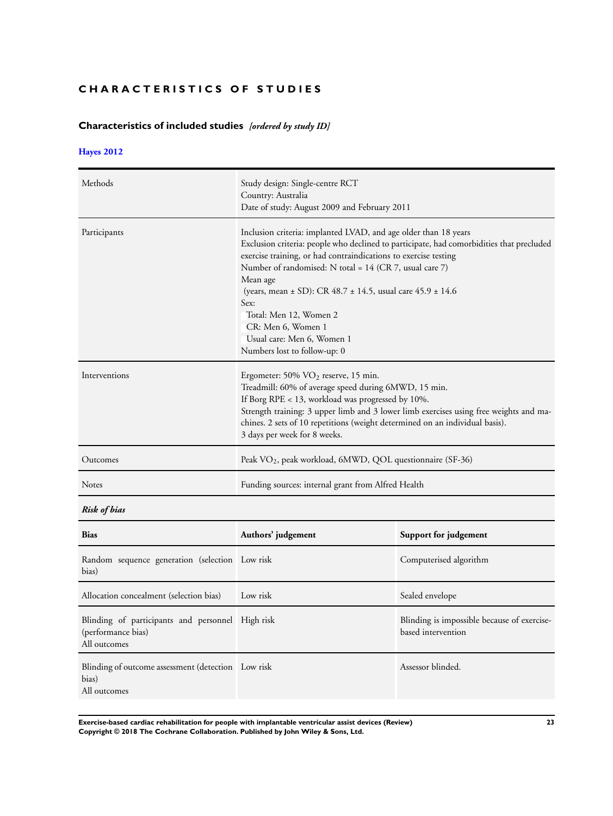# <span id="page-24-0"></span>**CHARACTERISTICS OF STUDIES**

# **Characteristics of included studies** *[ordered by study ID]*

# **[Hayes 2012](#page-19-0)**

All outcomes

| Methods                                                                                | Study design: Single-centre RCT<br>Country: Australia<br>Date of study: August 2009 and February 2011                                                                                                                                                                                                                                                                                                                                                                                           |                       |  |  |  |  |
|----------------------------------------------------------------------------------------|-------------------------------------------------------------------------------------------------------------------------------------------------------------------------------------------------------------------------------------------------------------------------------------------------------------------------------------------------------------------------------------------------------------------------------------------------------------------------------------------------|-----------------------|--|--|--|--|
| Participants                                                                           | Inclusion criteria: implanted LVAD, and age older than 18 years<br>Exclusion criteria: people who declined to participate, had comorbidities that precluded<br>exercise training, or had contraindications to exercise testing<br>Number of randomised: N total = $14$ (CR 7, usual care 7)<br>Mean age<br>(years, mean ± SD): CR 48.7 ± 14.5, usual care $45.9 \pm 14.6$<br>Sex:<br>Total: Men 12, Women 2<br>CR: Men 6, Women 1<br>Usual care: Men 6, Women 1<br>Numbers lost to follow-up: 0 |                       |  |  |  |  |
| Interventions                                                                          | Ergometer: 50% VO <sub>2</sub> reserve, 15 min.<br>Treadmill: 60% of average speed during 6MWD, 15 min.<br>If Borg RPE < 13, workload was progressed by 10%.<br>Strength training: 3 upper limb and 3 lower limb exercises using free weights and ma-<br>chines. 2 sets of 10 repetitions (weight determined on an individual basis).<br>3 days per week for 8 weeks.                                                                                                                           |                       |  |  |  |  |
| Outcomes                                                                               | Peak VO <sub>2</sub> , peak workload, 6MWD, QOL questionnaire (SF-36)                                                                                                                                                                                                                                                                                                                                                                                                                           |                       |  |  |  |  |
| Notes                                                                                  | Funding sources: internal grant from Alfred Health                                                                                                                                                                                                                                                                                                                                                                                                                                              |                       |  |  |  |  |
| <b>Risk of bias</b>                                                                    |                                                                                                                                                                                                                                                                                                                                                                                                                                                                                                 |                       |  |  |  |  |
| <b>Bias</b>                                                                            | Authors' judgement                                                                                                                                                                                                                                                                                                                                                                                                                                                                              | Support for judgement |  |  |  |  |
| Random sequence generation (selection Low risk<br>bias)                                | Computerised algorithm                                                                                                                                                                                                                                                                                                                                                                                                                                                                          |                       |  |  |  |  |
| Allocation concealment (selection bias)                                                | Low risk<br>Sealed envelope                                                                                                                                                                                                                                                                                                                                                                                                                                                                     |                       |  |  |  |  |
| Blinding of participants and personnel High risk<br>(performance bias)<br>All outcomes | Blinding is impossible because of exercise-<br>based intervention                                                                                                                                                                                                                                                                                                                                                                                                                               |                       |  |  |  |  |
| Blinding of outcome assessment (detection Low risk<br>bias)                            | Assessor blinded.                                                                                                                                                                                                                                                                                                                                                                                                                                                                               |                       |  |  |  |  |

**Exercise-based cardiac rehabilitation for people with implantable ventricular assist devices (Review) 23 Copyright © 2018 The Cochrane Collaboration. Published by John Wiley & Sons, Ltd.**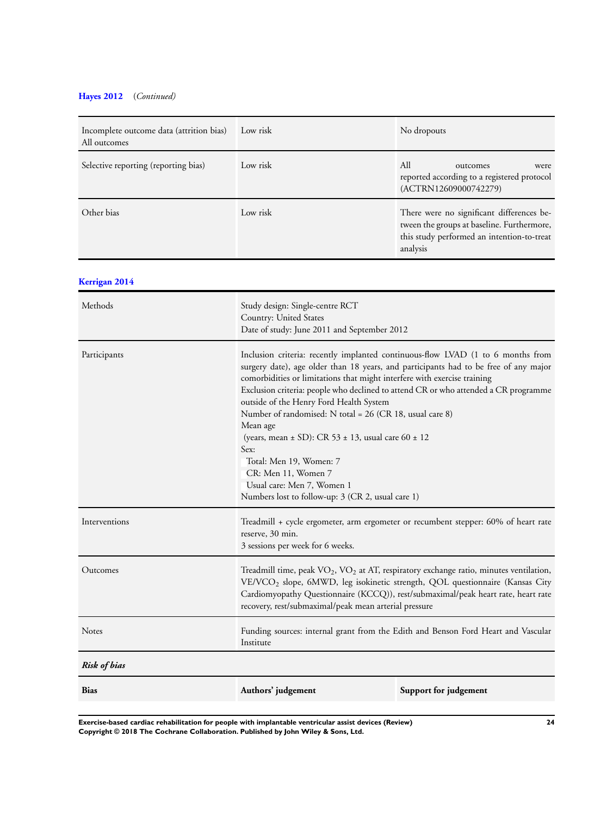# **[Hayes 2012](#page-19-0)** (*Continued)*

| Incomplete outcome data (attrition bias)<br>All outcomes | Low risk | No dropouts                                                                                                                                       |
|----------------------------------------------------------|----------|---------------------------------------------------------------------------------------------------------------------------------------------------|
| Selective reporting (reporting bias)                     | Low risk | All<br>outcomes<br>were<br>reported according to a registered protocol<br>(ACTRN12609000742279)                                                   |
| Other bias                                               | Low risk | There were no significant differences be-<br>tween the groups at baseline. Furthermore,<br>this study performed an intention-to-treat<br>analysis |

# **[Kerrigan 2014](#page-19-0)**

| Methods             | Study design: Single-centre RCT<br>Country: United States<br>Date of study: June 2011 and September 2012                                                                                                                                                                                                                                                                                                                                                                                                                                                                                                                                                                     |  |  |  |  |  |
|---------------------|------------------------------------------------------------------------------------------------------------------------------------------------------------------------------------------------------------------------------------------------------------------------------------------------------------------------------------------------------------------------------------------------------------------------------------------------------------------------------------------------------------------------------------------------------------------------------------------------------------------------------------------------------------------------------|--|--|--|--|--|
| Participants        | Inclusion criteria: recently implanted continuous-flow LVAD (1 to 6 months from<br>surgery date), age older than 18 years, and participants had to be free of any major<br>comorbidities or limitations that might interfere with exercise training<br>Exclusion criteria: people who declined to attend CR or who attended a CR programme<br>outside of the Henry Ford Health System<br>Number of randomised: N total = 26 (CR 18, usual care 8)<br>Mean age<br>(years, mean $\pm$ SD): CR 53 $\pm$ 13, usual care 60 $\pm$ 12<br>Sex:<br>Total: Men 19, Women: 7<br>CR: Men 11, Women 7<br>Usual care: Men 7, Women 1<br>Numbers lost to follow-up: 3 (CR 2, usual care 1) |  |  |  |  |  |
| Interventions       | Treadmill + cycle ergometer, arm ergometer or recumbent stepper: 60% of heart rate<br>reserve, 30 min.<br>3 sessions per week for 6 weeks.                                                                                                                                                                                                                                                                                                                                                                                                                                                                                                                                   |  |  |  |  |  |
| Outcomes            | Treadmill time, peak VO <sub>2</sub> , VO <sub>2</sub> at AT, respiratory exchange ratio, minutes ventilation,<br>VE/VCO <sub>2</sub> slope, 6MWD, leg isokinetic strength, QOL questionnaire (Kansas City<br>Cardiomyopathy Questionnaire (KCCQ)), rest/submaximal/peak heart rate, heart rate<br>recovery, rest/submaximal/peak mean arterial pressure                                                                                                                                                                                                                                                                                                                     |  |  |  |  |  |
| Notes               | Funding sources: internal grant from the Edith and Benson Ford Heart and Vascular<br>Institute                                                                                                                                                                                                                                                                                                                                                                                                                                                                                                                                                                               |  |  |  |  |  |
| <b>Risk of bias</b> |                                                                                                                                                                                                                                                                                                                                                                                                                                                                                                                                                                                                                                                                              |  |  |  |  |  |
| <b>Bias</b>         | Authors' judgement<br>Support for judgement                                                                                                                                                                                                                                                                                                                                                                                                                                                                                                                                                                                                                                  |  |  |  |  |  |

**Exercise-based cardiac rehabilitation for people with implantable ventricular assist devices (Review) 24 Copyright © 2018 The Cochrane Collaboration. Published by John Wiley & Sons, Ltd.**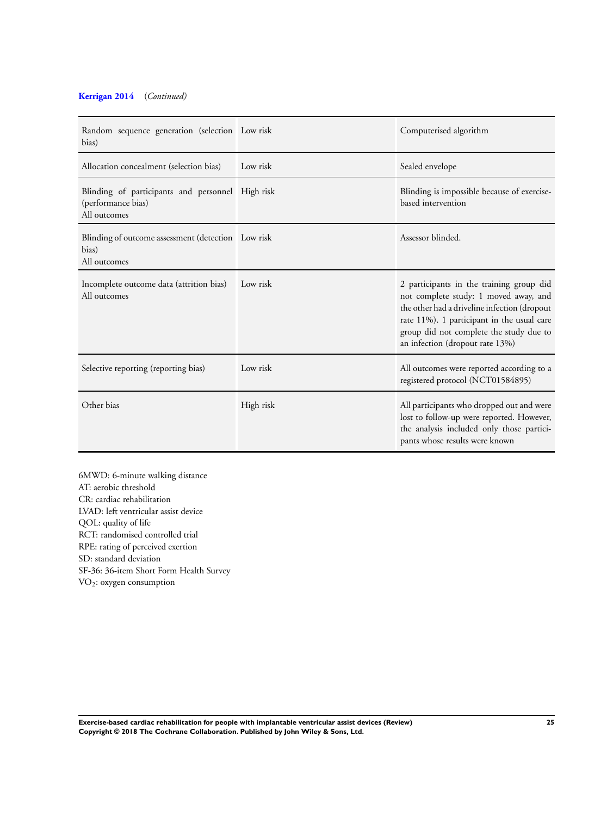# **[Kerrigan 2014](#page-19-0)** (*Continued)*

| Random sequence generation (selection Low risk<br>bias)                                |           | Computerised algorithm                                                                                                                                                                                                                                        |  |  |
|----------------------------------------------------------------------------------------|-----------|---------------------------------------------------------------------------------------------------------------------------------------------------------------------------------------------------------------------------------------------------------------|--|--|
| Allocation concealment (selection bias)                                                | Low risk  | Sealed envelope                                                                                                                                                                                                                                               |  |  |
| Blinding of participants and personnel High risk<br>(performance bias)<br>All outcomes |           | Blinding is impossible because of exercise-<br>based intervention                                                                                                                                                                                             |  |  |
| Blinding of outcome assessment (detection Low risk<br>bias)<br>All outcomes            |           | Assessor blinded.                                                                                                                                                                                                                                             |  |  |
| Incomplete outcome data (attrition bias)<br>All outcomes                               | Low risk  | 2 participants in the training group did<br>not complete study: 1 moved away, and<br>the other had a driveline infection (dropout<br>rate 11%). 1 participant in the usual care<br>group did not complete the study due to<br>an infection (dropout rate 13%) |  |  |
| Selective reporting (reporting bias)                                                   | Low risk  | All outcomes were reported according to a<br>registered protocol (NCT01584895)                                                                                                                                                                                |  |  |
| Other bias                                                                             | High risk | All participants who dropped out and were<br>lost to follow-up were reported. However,<br>the analysis included only those partici-<br>pants whose results were known                                                                                         |  |  |

6MWD: 6-minute walking distance AT: aerobic threshold CR: cardiac rehabilitation LVAD: left ventricular assist device QOL: quality of life RCT: randomised controlled trial RPE: rating of perceived exertion SD: standard deviation SF-36: 36-item Short Form Health Survey VO2: oxygen consumption

**Exercise-based cardiac rehabilitation for people with implantable ventricular assist devices (Review) 25 Copyright © 2018 The Cochrane Collaboration. Published by John Wiley & Sons, Ltd.**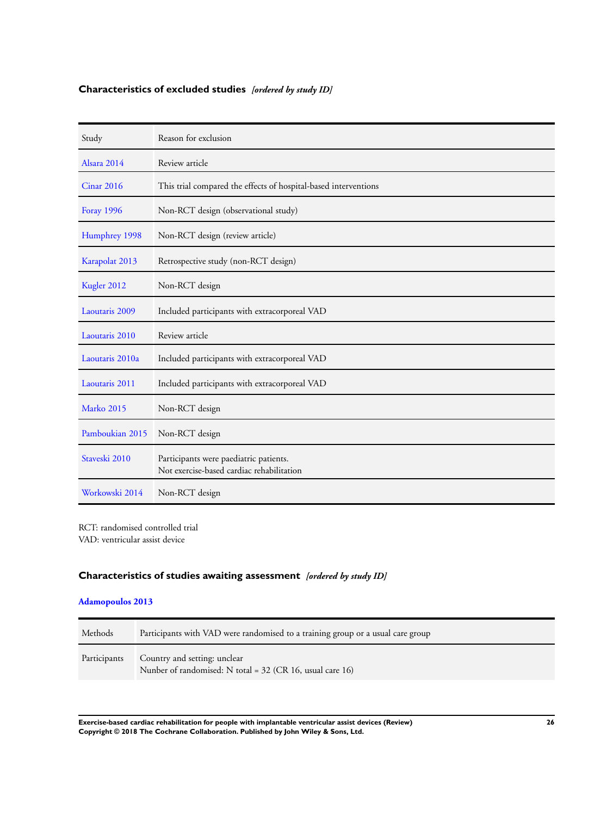# <span id="page-27-0"></span>**Characteristics of excluded studies** *[ordered by study ID]*

| Study             | Reason for exclusion                                                                |
|-------------------|-------------------------------------------------------------------------------------|
| Alsara 2014       | Review article                                                                      |
| <b>Cinar 2016</b> | This trial compared the effects of hospital-based interventions                     |
| Foray 1996        | Non-RCT design (observational study)                                                |
| Humphrey 1998     | Non-RCT design (review article)                                                     |
| Karapolat 2013    | Retrospective study (non-RCT design)                                                |
| Kugler 2012       | Non-RCT design                                                                      |
| Laoutaris 2009    | Included participants with extracorporeal VAD                                       |
| Laoutaris 2010    | Review article                                                                      |
| Laoutaris 2010a   | Included participants with extracorporeal VAD                                       |
| Laoutaris 2011    | Included participants with extracorporeal VAD                                       |
| Marko 2015        | Non-RCT design                                                                      |
| Pamboukian 2015   | Non-RCT design                                                                      |
| Staveski 2010     | Participants were paediatric patients.<br>Not exercise-based cardiac rehabilitation |
| Workowski 2014    | Non-RCT design                                                                      |

RCT: randomised controlled trial VAD: ventricular assist device

# **Characteristics of studies awaiting assessment** *[ordered by study ID]*

# **[Adamopoulos 2013](#page-19-0)**

| Methods      | Participants with VAD were randomised to a training group or a usual care group             |
|--------------|---------------------------------------------------------------------------------------------|
| Participants | Country and setting: unclear<br>Nunber of randomised: N total = $32$ (CR 16, usual care 16) |

**Exercise-based cardiac rehabilitation for people with implantable ventricular assist devices (Review) 26 Copyright © 2018 The Cochrane Collaboration. Published by John Wiley & Sons, Ltd.**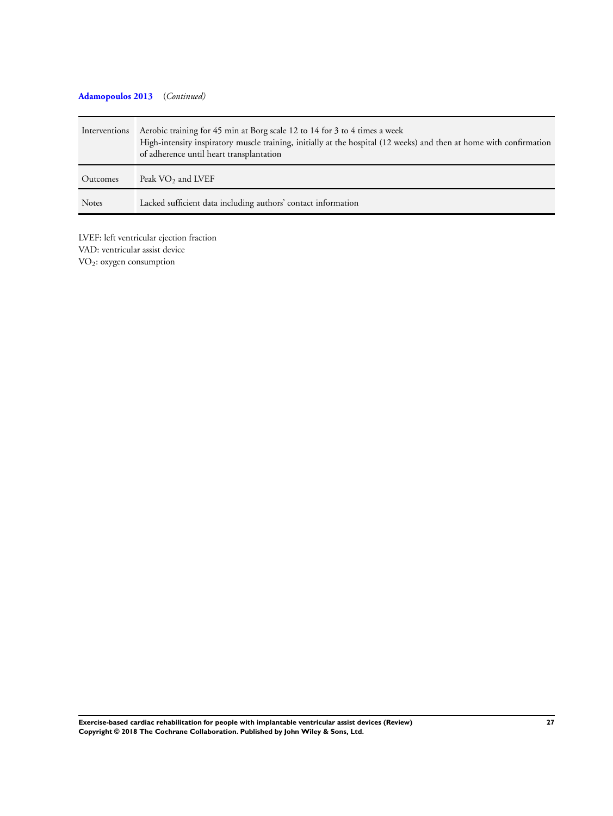# **[Adamopoulos 2013](#page-19-0)** (*Continued)*

| Interventions | Aerobic training for 45 min at Borg scale 12 to 14 for 3 to 4 times a week<br>High-intensity inspiratory muscle training, initially at the hospital (12 weeks) and then at home with confirmation<br>of adherence until heart transplantation |
|---------------|-----------------------------------------------------------------------------------------------------------------------------------------------------------------------------------------------------------------------------------------------|
| Outcomes      | Peak $VO2$ and LVEF                                                                                                                                                                                                                           |
| <b>Notes</b>  | Lacked sufficient data including authors' contact information                                                                                                                                                                                 |

LVEF: left ventricular ejection fraction VAD: ventricular assist device VO2: oxygen consumption

**Exercise-based cardiac rehabilitation for people with implantable ventricular assist devices (Review) 27 Copyright © 2018 The Cochrane Collaboration. Published by John Wiley & Sons, Ltd.**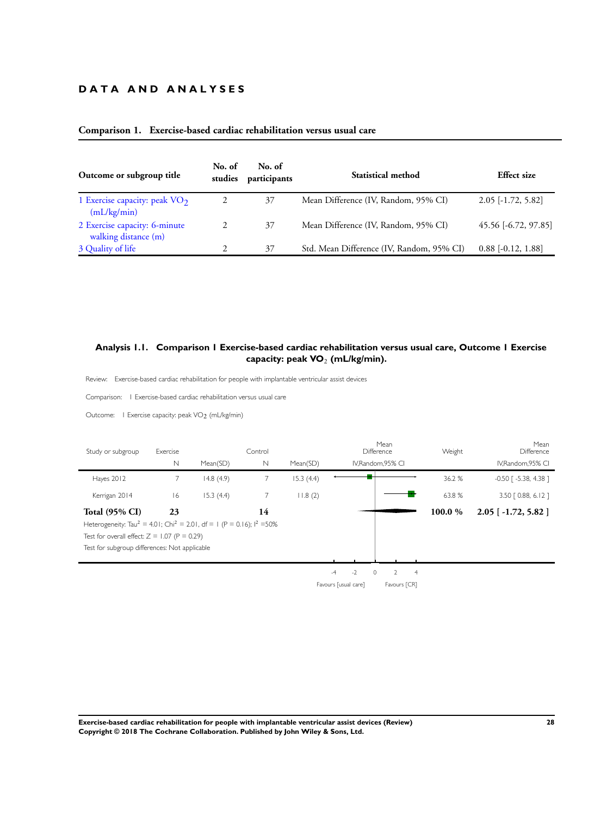# <span id="page-29-0"></span>**D A T A A N D A N A L Y S E S**

| Outcome or subgroup title                             | No. of<br>studies | No. of<br>participants | Statistical method                        | Effect size          |
|-------------------------------------------------------|-------------------|------------------------|-------------------------------------------|----------------------|
| 1 Exercise capacity: peak $VO2$<br>(mL/kg/min)        | 2                 | 37                     | Mean Difference (IV, Random, 95% CI)      | $2.05$ [-1.72, 5.82] |
| 2 Exercise capacity: 6-minute<br>walking distance (m) | 2                 | 37                     | Mean Difference (IV, Random, 95% CI)      | 45.56 [-6.72, 97.85] |
| 3 Quality of life                                     |                   | 37                     | Std. Mean Difference (IV, Random, 95% CI) | $0.88$ [-0.12, 1.88] |

# **Comparison 1. Exercise-based cardiac rehabilitation versus usual care**

# **Analysis 1.1. Comparison 1 Exercise-based cardiac rehabilitation versus usual care, Outcome 1 Exercise capacity: peak VO**<sup>2</sup> **(mL/kg/min).**

Review: Exercise-based cardiac rehabilitation for people with implantable ventricular assist devices

Comparison: 1 Exercise-based cardiac rehabilitation versus usual care

Outcome: 1 Exercise capacity: peak VO<sub>2</sub> (mL/kg/min)

| Study or subgroup                                                                               | Exercise    |           | Control     |           |                      |                  | Mean<br>Difference |                | Weight | Mean<br>Difference         |
|-------------------------------------------------------------------------------------------------|-------------|-----------|-------------|-----------|----------------------|------------------|--------------------|----------------|--------|----------------------------|
|                                                                                                 | $\mathbb N$ | Mean(SD)  | $\mathbb N$ | Mean(SD)  |                      |                  | IV, Random, 95% CI |                |        | IV, Random, 95% CI         |
| Hayes 2012                                                                                      |             | 14.8(4.9) |             | 15.3(4.4) |                      |                  |                    |                | 36.2 % | $-0.50$ [ $-5.38$ , 4.38 ] |
| Kerrigan 2014                                                                                   | 16          | 15.3(4.4) |             | 11.8(2)   |                      |                  |                    |                | 63.8%  | 3.50 [ 0.88, 6.12 ]        |
| <b>Total (95% CI)</b>                                                                           | 23          |           | 14          |           |                      |                  |                    |                | 100.0% | $2.05$ [ -1.72, 5.82 ]     |
| Heterogeneity: Tau <sup>2</sup> = 4.01; Chi <sup>2</sup> = 2.01, df = 1 (P = 0.16); $1^2$ = 50% |             |           |             |           |                      |                  |                    |                |        |                            |
| Test for overall effect: $Z = 1.07$ (P = 0.29)                                                  |             |           |             |           |                      |                  |                    |                |        |                            |
| Test for subgroup differences: Not applicable                                                   |             |           |             |           |                      |                  |                    |                |        |                            |
|                                                                                                 |             |           |             |           |                      |                  |                    |                |        |                            |
|                                                                                                 |             |           |             |           | $-4$                 | $-2$<br>$\Omega$ | $\mathcal{D}$      | $\overline{4}$ |        |                            |
|                                                                                                 |             |           |             |           | Favours [usual care] |                  | Favours [CR]       |                |        |                            |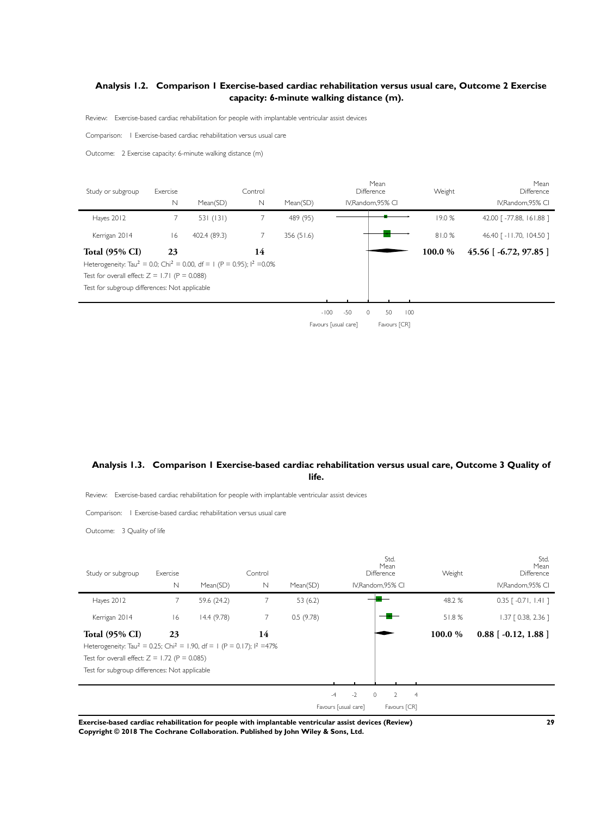## <span id="page-30-0"></span>**Analysis 1.2. Comparison 1 Exercise-based cardiac rehabilitation versus usual care, Outcome 2 Exercise capacity: 6-minute walking distance (m).**

Review: Exercise-based cardiac rehabilitation for people with implantable ventricular assist devices

Comparison: 1 Exercise-based cardiac rehabilitation versus usual care

Outcome: 2 Exercise capacity: 6-minute walking distance (m)

| Study or subgroup                                                                                        | Exercise    | Control      |             |            | Mean<br>Difference   |                      | Weight  | Mean<br>Difference       |
|----------------------------------------------------------------------------------------------------------|-------------|--------------|-------------|------------|----------------------|----------------------|---------|--------------------------|
|                                                                                                          | $\mathbb N$ | Mean(SD)     | $\mathbb N$ | Mean(SD)   |                      | IV, Random, 95% CI   |         | IV, Random, 95% CI       |
| Hayes 2012                                                                                               |             | 531(131)     |             | 489 (95)   |                      |                      | 19.0%   | 42.00 [ -77.88, 161.88 ] |
| Kerrigan 2014                                                                                            | 16          | 402.4 (89.3) | 7           | 356 (51.6) |                      |                      | 81.0%   | 46.40 [-11.70, 104.50]   |
| <b>Total (95% CI)</b>                                                                                    | 23          |              | 14          |            |                      |                      | 100.0 % | $45.56$ [ -6.72, 97.85 ] |
| Heterogeneity: Tau <sup>2</sup> = 0.0; Chi <sup>2</sup> = 0.00, df = 1 (P = 0.95); l <sup>2</sup> = 0.0% |             |              |             |            |                      |                      |         |                          |
| Test for overall effect: $Z = 1.71$ (P = 0.088)                                                          |             |              |             |            |                      |                      |         |                          |
| Test for subgroup differences: Not applicable                                                            |             |              |             |            |                      |                      |         |                          |
|                                                                                                          |             |              |             |            |                      |                      |         |                          |
|                                                                                                          |             |              |             |            | $-50$<br>$-100$      | 50<br>100<br>$\circ$ |         |                          |
|                                                                                                          |             |              |             |            | Favours [usual care] | Favours [CR]         |         |                          |

### **Analysis 1.3. Comparison 1 Exercise-based cardiac rehabilitation versus usual care, Outcome 3 Quality of life.**

Review: Exercise-based cardiac rehabilitation for people with implantable ventricular assist devices

Comparison: 1 Exercise-based cardiac rehabilitation versus usual care

Outcome: 3 Quality of life

| Study or subgroup                                                                              | Exercise    |             |             |            | Std.<br>Mean<br>Difference |                           | Std.<br>Mean<br>Difference |                             |
|------------------------------------------------------------------------------------------------|-------------|-------------|-------------|------------|----------------------------|---------------------------|----------------------------|-----------------------------|
|                                                                                                | $\mathbb N$ | Mean(SD)    | $\mathbb N$ | Mean(SD)   |                            | IV, Random, 95% CI        |                            | IV, Random, 95% CI          |
| Hayes 2012                                                                                     |             | 59.6 (24.2) |             | 53 $(6.2)$ |                            |                           | 48.2 %                     | $0.35$ [ $-0.71$ , $1.41$ ] |
| Kerrigan 2014                                                                                  | 16          | 14.4(9.78)  | 7           | 0.5(9.78)  |                            |                           | 51.8%                      | 1.37 [ 0.38, 2.36 ]         |
| <b>Total (95% CI)</b>                                                                          | 23          |             | 14          |            |                            |                           | 100.0%                     | $0.88$ [ -0.12, 1.88 ]      |
| Heterogeneity: Tau <sup>2</sup> = 0.25; Chi <sup>2</sup> = 1.90, df = 1 (P = 0.17); $1^2$ =47% |             |             |             |            |                            |                           |                            |                             |
| Test for overall effect: $Z = 1.72$ (P = 0.085)                                                |             |             |             |            |                            |                           |                            |                             |
| Test for subgroup differences: Not applicable                                                  |             |             |             |            |                            |                           |                            |                             |
|                                                                                                |             |             |             |            |                            |                           |                            |                             |
|                                                                                                |             |             |             |            | $-2$<br>$-4$               | $\mathcal{D}$<br>$\Omega$ | $\overline{4}$             |                             |
|                                                                                                |             |             |             |            | Favours [usual care]       | Favours [CR]              |                            |                             |

**Exercise-based cardiac rehabilitation for people with implantable ventricular assist devices (Review) 29 Copyright © 2018 The Cochrane Collaboration. Published by John Wiley & Sons, Ltd.**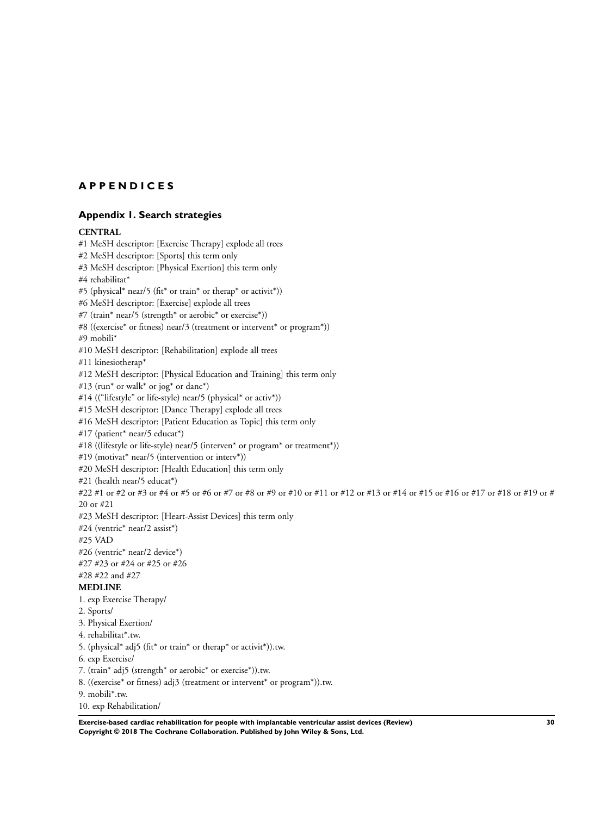# <span id="page-31-0"></span>**A P P E N D I C E S**

# **Appendix 1. Search strategies**

### **CENTRAL**

#1 MeSH descriptor: [Exercise Therapy] explode all trees #2 MeSH descriptor: [Sports] this term only #3 MeSH descriptor: [Physical Exertion] this term only #4 rehabilitat\* #5 (physical\* near/5 (fit\* or train\* or therap\* or activit\*)) #6 MeSH descriptor: [Exercise] explode all trees #7 (train\* near/5 (strength\* or aerobic\* or exercise\*)) #8 ((exercise\* or fitness) near/3 (treatment or intervent\* or program\*)) #9 mobili\* #10 MeSH descriptor: [Rehabilitation] explode all trees #11 kinesiotherap\* #12 MeSH descriptor: [Physical Education and Training] this term only #13 (run\* or walk\* or jog\* or danc\*) #14 (("lifestyle" or life-style) near/5 (physical\* or activ\*)) #15 MeSH descriptor: [Dance Therapy] explode all trees #16 MeSH descriptor: [Patient Education as Topic] this term only #17 (patient\* near/5 educat\*) #18 ((lifestyle or life-style) near/5 (interven\* or program\* or treatment\*)) #19 (motivat\* near/5 (intervention or interv\*)) #20 MeSH descriptor: [Health Education] this term only #21 (health near/5 educat\*) #22 #1 or #2 or #3 or #4 or #5 or #6 or #7 or #8 or #9 or #10 or #11 or #12 or #13 or #14 or #15 or #16 or #17 or #18 or #19 or # 20 or #21 #23 MeSH descriptor: [Heart-Assist Devices] this term only #24 (ventric\* near/2 assist\*) #25 VAD #26 (ventric\* near/2 device\*) #27 #23 or #24 or #25 or #26 #28 #22 and #27 **MEDLINE** 1. exp Exercise Therapy/ 2. Sports/ 3. Physical Exertion/ 4. rehabilitat\*.tw. 5. (physical\* adj5 (fit\* or train\* or therap\* or activit\*)).tw. 6. exp Exercise/ 7. (train\* adj5 (strength\* or aerobic\* or exercise\*)).tw. 8. ((exercise\* or fitness) adj3 (treatment or intervent\* or program\*)).tw. 9. mobili\*.tw. 10. exp Rehabilitation/

**Exercise-based cardiac rehabilitation for people with implantable ventricular assist devices (Review) 30 Copyright © 2018 The Cochrane Collaboration. Published by John Wiley & Sons, Ltd.**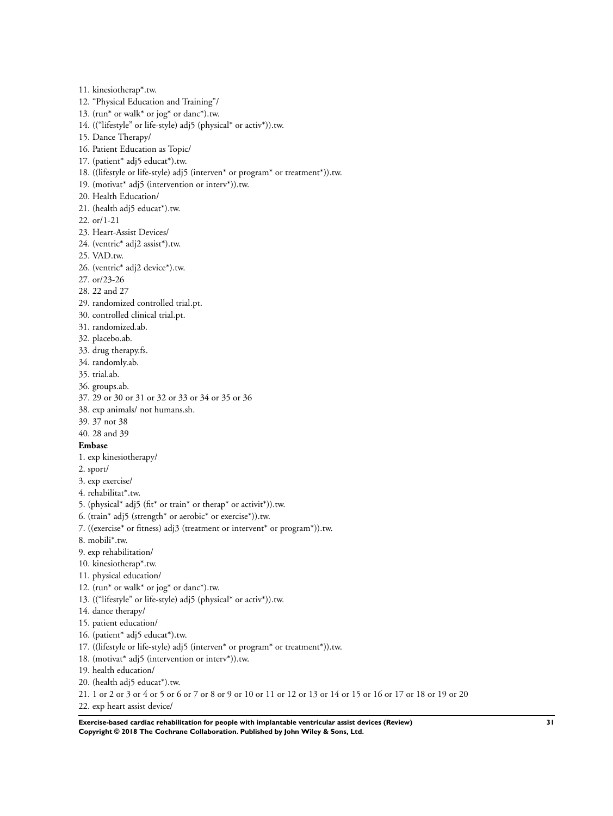11. kinesiotherap\*.tw. 12. "Physical Education and Training"/ 13. (run\* or walk\* or jog\* or danc\*).tw. 14. (("lifestyle" or life-style) adj5 (physical\* or activ\*)).tw. 15. Dance Therapy/ 16. Patient Education as Topic/ 17. (patient\* adj5 educat\*).tw. 18. ((lifestyle or life-style) adj5 (interven\* or program\* or treatment\*)).tw. 19. (motivat\* adj5 (intervention or interv\*)).tw. 20. Health Education/ 21. (health adj5 educat\*).tw. 22. or/1-21 23. Heart-Assist Devices/ 24. (ventric\* adj2 assist\*).tw. 25. VAD.tw. 26. (ventric\* adj2 device\*).tw. 27. or/23-26 28. 22 and 27 29. randomized controlled trial.pt. 30. controlled clinical trial.pt. 31. randomized.ab. 32. placebo.ab. 33. drug therapy.fs. 34. randomly.ab. 35. trial.ab. 36. groups.ab. 37. 29 or 30 or 31 or 32 or 33 or 34 or 35 or 36 38. exp animals/ not humans.sh. 39. 37 not 38 40. 28 and 39 **Embase** 1. exp kinesiotherapy/ 2. sport/ 3. exp exercise/ 4. rehabilitat\*.tw. 5. (physical\* adj5 (fit\* or train\* or therap\* or activit\*)).tw. 6. (train\* adj5 (strength\* or aerobic\* or exercise\*)).tw. 7. ((exercise\* or fitness) adj3 (treatment or intervent\* or program\*)).tw. 8. mobili\*.tw. 9. exp rehabilitation/ 10. kinesiotherap\*.tw. 11. physical education/ 12. (run\* or walk\* or jog\* or danc\*).tw. 13. (("lifestyle" or life-style) adj5 (physical\* or activ\*)).tw. 14. dance therapy/ 15. patient education/ 16. (patient\* adj5 educat\*).tw. 17. ((lifestyle or life-style) adj5 (interven\* or program\* or treatment\*)).tw. 18. (motivat\* adj5 (intervention or interv\*)).tw. 19. health education/ 20. (health adj5 educat\*).tw. 21. 1 or 2 or 3 or 4 or 5 or 6 or 7 or 8 or 9 or 10 or 11 or 12 or 13 or 14 or 15 or 16 or 17 or 18 or 19 or 20 22. exp heart assist device/

**Exercise-based cardiac rehabilitation for people with implantable ventricular assist devices (Review) 31 Copyright © 2018 The Cochrane Collaboration. Published by John Wiley & Sons, Ltd.**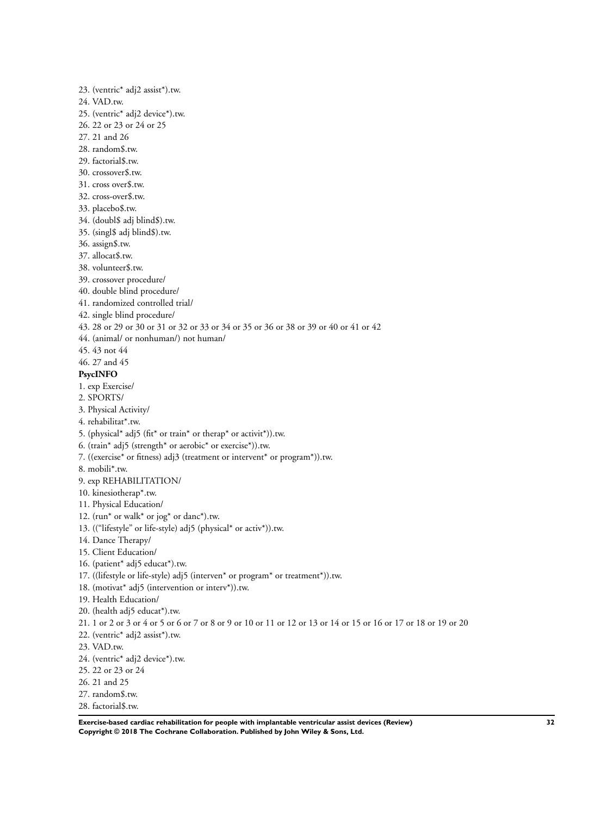23. (ventric\* adj2 assist\*).tw.

24. VAD.tw.

- 25. (ventric\* adj2 device\*).tw.
- 26. 22 or 23 or 24 or 25
- 27. 21 and 26
- 28. random\$.tw.
- 29. factorial\$.tw.
- 30. crossover\$.tw.
- 31. cross over\$.tw.
- 32. cross-over\$.tw.
- 33. placebo\$.tw.
- 34. (doubl\$ adj blind\$).tw.
- 35. (singl\$ adj blind\$).tw.
- 36. assign\$.tw.
- 37. allocat\$.tw.
- 38. volunteer\$.tw.
- 39. crossover procedure/
- 40. double blind procedure/
- 41. randomized controlled trial/
- 42. single blind procedure/
- 43. 28 or 29 or 30 or 31 or 32 or 33 or 34 or 35 or 36 or 38 or 39 or 40 or 41 or 42
- 44. (animal/ or nonhuman/) not human/
- 45. 43 not 44
- 46. 27 and 45

### **PsycINFO**

- 1. exp Exercise/
- 2. SPORTS/
- 3. Physical Activity/
- 4. rehabilitat\*.tw.
- 5. (physical\* adj5 (fit\* or train\* or therap\* or activit\*)).tw.
- 6. (train\* adj5 (strength\* or aerobic\* or exercise\*)).tw.
- 7. ((exercise\* or fitness) adj3 (treatment or intervent\* or program\*)).tw.
- 8. mobili\*.tw.
- 9. exp REHABILITATION/
- 10. kinesiotherap\*.tw.
- 11. Physical Education/
- 12. (run\* or walk\* or jog\* or danc\*).tw.
- 13. (("lifestyle" or life-style) adj5 (physical\* or activ\*)).tw.
- 14. Dance Therapy/
- 15. Client Education/
- 16. (patient\* adj5 educat\*).tw.
- 17. ((lifestyle or life-style) adj5 (interven\* or program\* or treatment\*)).tw.
- 18. (motivat\* adj5 (intervention or interv\*)).tw.
- 19. Health Education/
- 20. (health adj5 educat\*).tw.
- 21. 1 or 2 or 3 or 4 or 5 or 6 or 7 or 8 or 9 or 10 or 11 or 12 or 13 or 14 or 15 or 16 or 17 or 18 or 19 or 20
- 22. (ventric\* adj2 assist\*).tw.
- 23. VAD.tw.
- 24. (ventric\* adj2 device\*).tw.
- 25. 22 or 23 or 24
- 26. 21 and 25
- 27. random\$.tw.
- 28. factorial\$.tw

**Exercise-based cardiac rehabilitation for people with implantable ventricular assist devices (Review) 32 Copyright © 2018 The Cochrane Collaboration. Published by John Wiley & Sons, Ltd.**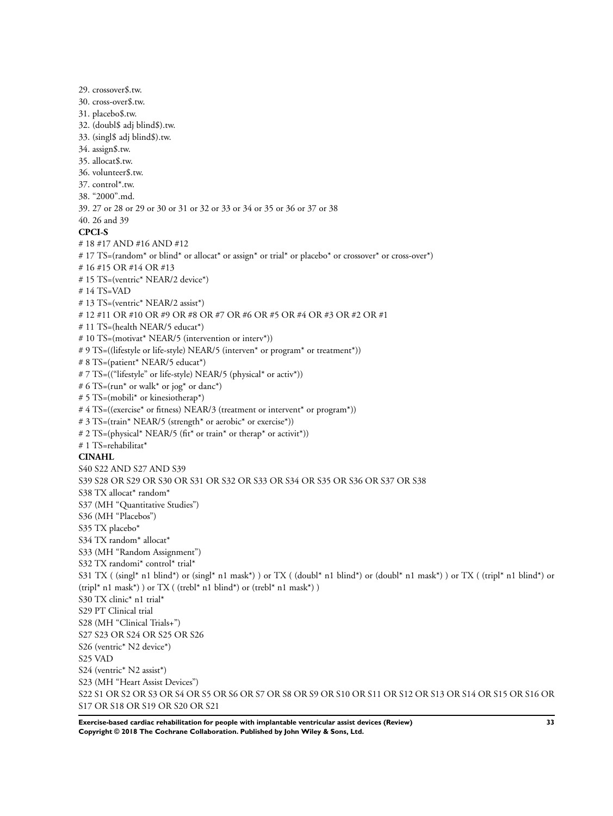29. crossover\$.tw. 30. cross-over\$.tw. 31. placebo\$.tw. 32. (doubl\$ adj blind\$).tw. 33. (singl\$ adj blind\$).tw. 34. assign\$.tw. 35. allocat\$.tw. 36. volunteer\$.tw. 37. control\*.tw. 38. "2000".md. 39. 27 or 28 or 29 or 30 or 31 or 32 or 33 or 34 or 35 or 36 or 37 or 38 40. 26 and 39 **CPCI-S** # 18 #17 AND #16 AND #12 # 17 TS=(random\* or blind\* or allocat\* or assign\* or trial\* or placebo\* or crossover\* or cross-over\*) # 16 #15 OR #14 OR #13 # 15 TS=(ventric\* NEAR/2 device\*) # 14 TS=VAD # 13 TS=(ventric\* NEAR/2 assist\*) # 12 #11 OR #10 OR #9 OR #8 OR #7 OR #6 OR #5 OR #4 OR #3 OR #2 OR #1 # 11 TS=(health NEAR/5 educat\*) # 10 TS=(motivat\* NEAR/5 (intervention or interv\*)) # 9 TS=((lifestyle or life-style) NEAR/5 (interven\* or program\* or treatment\*)) # 8 TS=(patient\* NEAR/5 educat\*) # 7 TS=(("lifestyle" or life-style) NEAR/5 (physical\* or activ\*)) # 6 TS=(run<sup>\*</sup> or walk<sup>\*</sup> or jog<sup>\*</sup> or danc<sup>\*</sup>) # 5 TS=(mobili\* or kinesiotherap\*) # 4 TS=((exercise\* or fitness) NEAR/3 (treatment or intervent\* or program\*)) # 3 TS=(train\* NEAR/5 (strength\* or aerobic\* or exercise\*)) # 2 TS=(physical\* NEAR/5 (fit\* or train\* or therap\* or activit\*)) # 1 TS=rehabilitat\* **CINAHL** S40 S22 AND S27 AND S39 S39 S28 OR S29 OR S30 OR S31 OR S32 OR S33 OR S34 OR S35 OR S36 OR S37 OR S38 S38 TX allocat\* random\* S37 (MH "Quantitative Studies") S36 (MH "Placebos") S35 TX placebo\* S34 TX random\* allocat\* S33 (MH "Random Assignment") S32 TX randomi\* control\* trial\* S31 TX ( (singl\* n1 blind\*) or (singl\* n1 mask\*) ) or TX ( (doubl\* n1 blind\*) or (doubl\* n1 mask\*) ) or TX ( (tripl\* n1 blind\*) or  $(\text{tripl* } n1 \text{ mask*})$ ) or TX ( $(\text{trebl* } n1 \text{ blind*})$  or  $(\text{trebl* } n1 \text{ mask*})$ ) S30 TX clinic\* n1 trial\* S29 PT Clinical trial S28 (MH "Clinical Trials+") S27 S23 OR S24 OR S25 OR S26 S26 (ventric\* N2 device\*) S25 VAD S24 (ventric\* N2 assist\*) S23 (MH "Heart Assist Devices") S22 S1 OR S2 OR S3 OR S4 OR S5 OR S6 OR S7 OR S8 OR S9 OR S10 OR S11 OR S12 OR S13 OR S14 OR S15 OR S16 OR S17 OR S18 OR S19 OR S20 OR S21

**Exercise-based cardiac rehabilitation for people with implantable ventricular assist devices (Review) 33 Copyright © 2018 The Cochrane Collaboration. Published by John Wiley & Sons, Ltd.**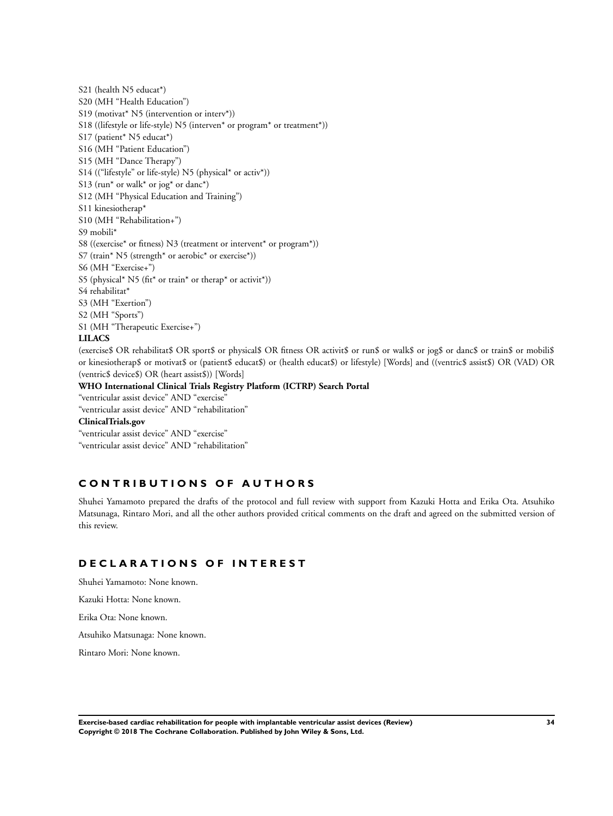S21 (health N5 educat\*) S20 (MH "Health Education") S19 (motivat\* N5 (intervention or interv\*)) S18 ((lifestyle or life-style) N5 (interven\* or program\* or treatment\*)) S17 (patient\* N5 educat\*) S16 (MH "Patient Education") S15 (MH "Dance Therapy") S14 (("lifestyle" or life-style) N5 (physical\* or activ\*)) S13 (run\* or walk\* or jog\* or danc\*) S12 (MH "Physical Education and Training") S11 kinesiotherap\* S10 (MH "Rehabilitation+") S9 mobili\* S8 ((exercise\* or fitness) N3 (treatment or intervent\* or program\*)) S7 (train\* N5 (strength\* or aerobic\* or exercise\*)) S6 (MH "Exercise+") S5 (physical\* N5 (fit\* or train\* or therap\* or activit\*)) S4 rehabilitat\* S3 (MH "Exertion") S2 (MH "Sports") S1 (MH "Therapeutic Exercise+") **LILACS**

(exercise\$ OR rehabilitat\$ OR sport\$ or physical\$ OR fitness OR activit\$ or run\$ or walk\$ or jog\$ or danc\$ or train\$ or mobili\$ or kinesiotherap\$ or motivat\$ or (patient\$ educat\$) or (health educat\$) or lifestyle) [Words] and ((ventric\$ assist\$) OR (VAD) OR (ventric\$ device\$) OR (heart assist\$)) [Words]

### **WHO International Clinical Trials Registry Platform (ICTRP) Search Portal**

"ventricular assist device" AND "exercise" "ventricular assist device" AND "rehabilitation" **ClinicalTrials.gov** "ventricular assist device" AND "exercise" "ventricular assist device" AND "rehabilitation"

# **C O N T R I B U T I O N S O F A U T H O R S**

Shuhei Yamamoto prepared the drafts of the protocol and full review with support from Kazuki Hotta and Erika Ota. Atsuhiko Matsunaga, Rintaro Mori, and all the other authors provided critical comments on the draft and agreed on the submitted version of this review.

# **D E C L A R A T I O N S O F I N T E R E S T**

Shuhei Yamamoto: None known. Kazuki Hotta: None known. Erika Ota: None known. Atsuhiko Matsunaga: None known. Rintaro Mori: None known.